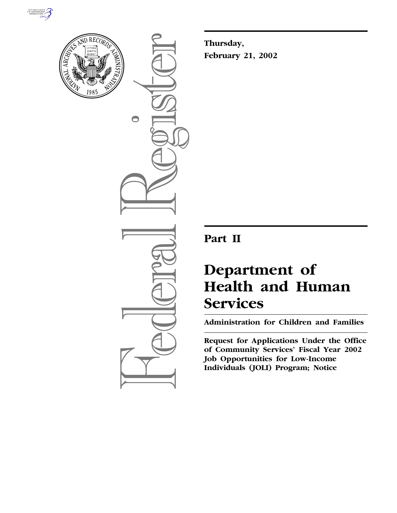



 $\bigcirc$ 

**Thursday, February 21, 2002**

# **Part II**

# **Department of Health and Human Services**

**Administration for Children and Families**

**Request for Applications Under the Office of Community Services' Fiscal Year 2002 Job Opportunities for Low-Income Individuals (JOLI) Program; Notice**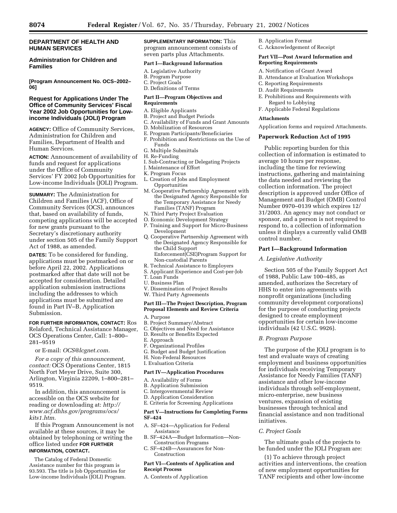## **DEPARTMENT OF HEALTH AND HUMAN SERVICES**

## **Administration for Children and Families**

**[Program Announcement No. OCS–2002– 06]**

## **Request for Applications Under The Office of Community Services' Fiscal Year 2002 Job Opportunities for Lowincome Individuals (JOLI) Program**

**AGENCY:** Office of Community Services, Administration for Children and Families, Department of Health and Human Services.

**ACTION:** Announcement of availability of funds and request for applications under the Office of Community Services' FY 2002 Job Opportunities for Low-income Individuals (JOLI) Program.

**SUMMARY:** The Administration for Children and Families (ACF), Office of Community Services (OCS), announces that, based on availability of funds, competing applications will be accepted for new grants pursuant to the Secretary's discretionary authority under section 505 of the Family Support Act of 1988, as amended.

**DATES:** To be considered for funding, applications must be postmarked on or before April 22, 2002. Applications postmarked after that date will not be accepted for consideration. Detailed application submission instructions including the addresses to which applications must be submitted are found in Part IV–B, Application Submission.

**FOR FURTHER INFORMATION, CONTACT:** Ros Relaford, Technical Assistance Manager, OCS Operations Center, Call: 1–800– 281–9519

or E-mail: *OCS@lcgnet.com.*

*For a copy of this announcement, contact:* OCS Operations Center, 1815 North Fort Meyer Drive, Suite 300, Arlington, Virginia 22209, 1–800–281– 9519.

In addition, this announcement is accessible on the OCS website for reading or downloading at: *http:// www.acf.dhhs.gov/programs/ocs/ kits1.htm*.

If this Program Announcement is not available at these sources, it may be obtained by telephoning or writing the office listed under **FOR FURTHER INFORMATION, CONTACT.**

The Catalog of Federal Domestic Assistance number for this program is 93.593. The title is Job Opportunities for Low-income Individuals (JOLI) Program. **SUPPLEMENTARY INFORMATION:** This program announcement consists of seven parts plus Attachments.

## **Part I—Background Information**

- A. Legislative Authority
- B. Program Purpose
- C. Project Goals
- D. Definitions of Terms

### **Part II—Program Objectives and Requirements**

A. Eligible Applicants

- B. Project and Budget Periods
- C. Availability of Funds and Grant Amounts
- D. Mobilization of Resources
- E. Program Participants/Beneficiaries
- F. Prohibition and Restrictions on the Use of Funds
- G. Multiple Submittals
- H. Re-Funding
- I. Sub-Contracting or Delegating Projects
- J. Maintenance of Effort
- K. Program Focus
- L. Creation of Jobs and Employment **Opportunities**
- M. Cooperative Partnership Agreement with the Designated Agency Responsible for the Temporary Assistance for Needy Families (TANF) Program
- N. Third Party Project Evaluation
- O. Economic Development Strategy
- P. Training and Support for Micro-Business Development
- Q. Cooperative Partnership Agreement with the Designated Agency Responsible for the Child Support Enforcement(CSE)Program Support for Non-custodial Parents
- R. Technical Assistance to Employers
- S. Applicant Experience and Cost-per-Job
- T. Loan Funds
- U. Business Plan
- V. Dissemination of Project Results
- W. Third Party Agreements

#### **Part III—The Project Description, Program Proposal Elements and Review Criteria** A. Purpose

- 
- B. Project Summary/Abstract
- C. Objectives and Need for Assistance
- D. Results or Benefits Expected
- E. Approach
- F. Organizational Profiles
- G. Budget and Budget Justification
- H. Non-Federal Resources
- I. Evaluation Criteria

#### **Part IV—Application Procedures**

- A. Availability of Forms
- B. Application Submission
- C. Intergovernmental Review
- D. Application Consideration
- E. Criteria for Screening Applications

#### **Part V—Instructions for Completing Forms SF–424**

- A. SF–424—Application for Federal Assistance
- B. SF–424A—Budget Information—Non-Construction Programs
- C. SF–424B—Assurances for Non-Construction

#### **Part VI—Contents of Application and Receipt Process**

A. Contents of Application

- B. Application Format
- C. Acknowledgement of Receipt

## **Part VII—Post Award Information and Reporting Requirements**

- A. Notification of Grant Award
- B. Attendance at Evaluation Workshops
- C. Reporting Requirements
- D. Audit Requirements
- E. Prohibitions and Requirements with Regard to Lobbying
- F. Applicable Federal Regulations

## **Attachments**

Application forms and required Attachments.

#### **Paperwork Reduction Act of 1995**

Public reporting burden for this collection of information is estimated to average 10 hours per response, including the time for reviewing instructions, gathering and maintaining the data needed and reviewing the collection information. The project description is approved under Office of Management and Budget (OMB) Control Number 0970–0139 which expires 12/ 31/2003. An agency may not conduct or sponsor, and a person is not required to respond to, a collection of information unless it displays a currently valid OMB control number.

## **Part I—Background Information**

### *A. Legislative Authority*

Section 505 of the Family Support Act of 1988, Public Law 100–485, as amended, authorizes the Secretary of HHS to enter into agreements with nonprofit organizations (including community development corporations) for the purpose of conducting projects designed to create employment opportunities for certain low-income individuals (42 U.S.C. 9926).

## *B. Program Purpose*

The purpose of the JOLI program is to test and evaluate ways of creating employment and business opportunities for individuals receiving Temporary Assistance for Needy Families (TANF) assistance and other low-income individuals through self-employment, micro-enterprise, new business ventures, expansion of existing businesses through technical and financial assistance and non traditional initiatives.

## *C. Project Goals*

The ultimate goals of the projects to be funded under the JOLI Program are:

(1) To achieve through project activities and interventions, the creation of new employment opportunities for TANF recipients and other low-income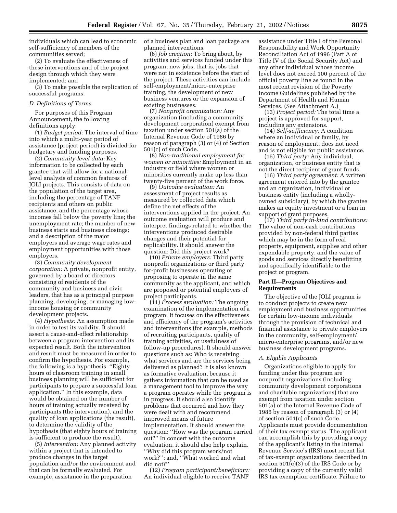individuals which can lead to economic self-sufficiency of members of the communities served;

(2) To evaluate the effectiveness of these interventions and of the project design through which they were implemented; and

(3) To make possible the replication of successful programs.

#### *D. Definitions of Terms*

For purposes of this Program Announcement, the following definitions apply:

(1) *Budget period*: The interval of time into which a multi-year period of assistance (project period) is divided for budgetary and funding purposes.

(2) *Community-level data:* Key information to be collected by each grantee that will allow for a nationallevel analysis of common features of JOLI projects. This consists of data on the population of the target area, including the percentage of TANF recipients and others on public assistance, and the percentage whose incomes fall below the poverty line; the unemployment rate; the number of new business starts and business closings; and a description of the major employers and average wage rates and employment opportunities with those employers.

(3) *Community development corporation:* A private, nonprofit entity, governed by a board of directors consisting of residents of the community and business and civic leaders, that has as a principal purpose planning, developing, or managing lowincome housing or community development projects.

(4) *Hypothesis:* An assumption made in order to test its validity. It should assert a cause-and-effect relationship between a program intervention and its expected result. Both the intervention and result must be measured in order to confirm the hypothesis. For example, the following is a hypothesis: ''Eighty hours of classroom training in small business planning will be sufficient for participants to prepare a successful loan application.'' In this example, data would be obtained on the number of hours of training actually received by participants (the intervention), and the quality of loan applications (the result), to determine the validity of the hypothesis (that eighty hours of training is sufficient to produce the result).

(5) *Intervention:* Any planned activity within a project that is intended to produce changes in the target population and/or the environment and that can be formally evaluated. For example, assistance in the preparation

of a business plan and loan package are planned interventions.

(6) *Job creation:* To bring about, by activities and services funded under this program, new jobs, that is, jobs that were not in existence before the start of the project. These activities can include self-employment/micro-enterprise training, the development of new business ventures or the expansion of existing businesses.

(7) *Nonprofit organization:* Any organization (including a community development corporation) exempt from taxation under section 501(a) of the Internal Revenue Code of 1986 by reason of paragraph (3) or (4) of Section 501(c) of such Code.

(8) *Non-traditional employment for women or minorities:* Employment in an industry or field where women or minorities currently make up less than twenty-five percent of the work force.

(9) *Outcome evaluation:* An assessment of project results as measured by collected data which define the net effects of the interventions applied in the project. An outcome evaluation will produce and interpret findings related to whether the interventions produced desirable changes and their potential for replicability. It should answer the question: Did this project work?

(10) *Private employers:* Third party nonprofit organizations or third party for-profit businesses operating or proposing to operate in the same community as the applicant, and which are proposed or potential employers of project participants.

(11) *Process evaluation:* The ongoing examination of the implementation of a program. It focuses on the effectiveness and efficiency of the program's activities and interventions (for example, methods of recruiting participants, quality of training activities, or usefulness of follow-up procedures). It should answer questions such as: Who is receiving what services and are the services being delivered as planned? It is also known as formative evaluation, because it gathers information that can be used as a management tool to improve the way a program operates while the program is in progress. It should also identify problems that occurred and how they were dealt with and recommend improved means of future implementation. It should answer the question: ''How was the program carried out?'' In concert with the outcome evaluation, it should also help explain, ''Why did this program work/not work?''; and, ''What worked and what did not?''

(12) *Program participant/beneficiary:* An individual eligible to receive TANF

assistance under Title I of the Personal Responsibility and Work Opportunity Reconciliation Act of 1996 (Part A of Title IV of the Social Security Act) and any other individual whose income level does not exceed 100 percent of the official poverty line as found in the most recent revision of the Poverty Income Guidelines published by the Department of Health and Human Services. (See Attachment A.)

(13) *Project period:* The total time a project is approved for support, including any extensions.

(14) *Self-sufficiency:* A condition where an individual or family, by reason of employment, does not need and is not eligible for public assistance.

(15) *Third party:* Any individual, organization, or business entity that is not the direct recipient of grant funds.

(16) *Third party agreement:* A written agreement entered into by the grantee and an organization, individual or business entity (including a whollyowned subsidiary), by which the grantee makes an equity investment or a loan in support of grant purposes.

(17) *Third party in-kind contributions:* The value of non-cash contributions provided by non-federal third parties which may be in the form of real property, equipment, supplies and other expendable property, and the value of goods and services directly benefitting and specifically identifiable to the project or program.

## **Part II—Program Objectives and Requirements**

The objective of the JOLI program is to conduct projects to create new employment and business opportunities for certain low-income individuals through the provision of technical and financial assistance to private employers in the community, self-employment/ micro-enterprise programs, and/or new business development programs.

#### *A. Eligible Applicants*

Organizations eligible to apply for funding under this program are nonprofit organizations (including community development corporations and charitable organizations) that are exempt from taxation under section 501(a) of the Internal Revenue Code of 1986 by reason of paragraph (3) or (4) of section 501(c) of such Code. Applicants must provide documentation of their tax exempt status. The applicant can accomplish this by providing a copy of the applicant's listing in the Internal Revenue Service's (IRS) most recent list of tax-exempt organizations described in section 501(c)(3) of the IRS Code or by providing a copy of the currently valid IRS tax exemption certificate. Failure to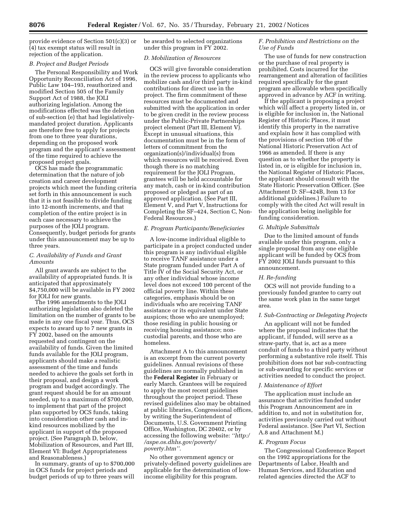provide evidence of Section 501(c)(3) or (4) tax exempt status will result in rejection of the application.

## *B. Project and Budget Periods*

The Personal Responsibility and Work Opportunity Reconciliation Act of 1996, Public Law 104–193, reauthorized and modified Section 505 of the Family Support Act of 1988, the JOLI authorizing legislation. Among the modifications effected was the deletion of sub-section (e) that had legislativelymandated project duration. Applicants are therefore free to apply for projects from one to three year durations, depending on the proposed work program and the applicant's assessment of the time required to achieve the proposed project goals.

OCS has made the programmatic determination that the nature of job creation and career development projects which meet the funding criteria set forth in this announcement is such that it is not feasible to divide funding into 12-month increments, and that completion of the entire project is in each case necessary to achieve the purposes of the JOLI program. Consequently, budget periods for grants under this announcement may be up to three years.

## *C. Availability of Funds and Grant Amounts*

All grant awards are subject to the availability of appropriated funds. It is anticipated that approximately \$4,750,000 will be available in FY 2002 for JOLI for new grants.

The 1996 amendments to the JOLI authorizing legislation also deleted the limitation on the number of grants to be made in any one fiscal year. Thus, OCS expects to award up to 7 new grants in FY 2002, based on the amounts requested and contingent on the availability of funds. Given the limited funds available for the JOLI program, applicants should make a realistic assessment of the time and funds needed to achieve the goals set forth in their proposal, and design a work program and budget accordingly. The grant request should be for an amount needed, up to a maximum of \$700,000, to implement that part of the project plan supported by OCS funds, taking into consideration other cash and inkind resources mobilized by the applicant in support of the proposed project. (See Paragraph D, below, Mobilization of Resources, and Part III, Element VI: Budget Appropriateness and Reasonableness.)

In summary, grants of up to \$700,000 in OCS funds for project periods and budget periods of up to three years will

be awarded to selected organizations under this program in FY 2002.

## *D. Mobilization of Resources*

OCS will give favorable consideration in the review process to applicants who mobilize cash and/or third party in-kind contributions for direct use in the project. The firm commitment of these resources must be documented and submitted with the application in order to be given credit in the review process under the Public-Private Partnerships project element (Part III, Element V). Except in unusual situations, this documentation must be in the form of letters of commitment from the organization(s)/individual(s) from which resources will be received. Even though there is no matching requirement for the JOLI Program, grantees will be held accountable for any match, cash or in-kind contribution proposed or pledged as part of an approved application. (See Part III, Element V, and Part V, Instructions for Completing the SF–424, Section C, Non-Federal Resources.)

## *E. Program Participants/Beneficiaries*

A low-income individual eligible to participate in a project conducted under this program is any individual eligible to receive TANF assistance under a State program funded under Part A of Title IV of the Social Security Act, or any other individual whose income level does not exceed 100 percent of the official poverty line. Within these categories, emphasis should be on individuals who are receiving TANF assistance or its equivalent under State auspices; those who are unemployed; those residing in public housing or receiving housing assistance; noncustodial parents, and those who are homeless.

Attachment A to this announcement is an excerpt from the current poverty guidelines. Annual revisions of these guidelines are normally published in the **Federal Register** in February or early March. Grantees will be required to apply the most recent guidelines throughout the project period. These revised guidelines also may be obtained at public libraries, Congressional offices, by writing the Superintendent of Documents, U.S. Government Printing Office, Washington, DC 20402, or by accessing the following website: *''http:/ /aspe.os.dhhs.gov/poverty/ poverty.htm''.*

No other government agency or privately-defined poverty guidelines are applicable for the determination of lowincome eligibility for this program.

## *F. Prohibition and Restrictions on the Use of Funds*

The use of funds for new construction or the purchase of real property is prohibited. Costs incurred for the rearrangement and alteration of facilities required specifically for the grant program are allowable when specifically approved in advance by ACF in writing.

If the applicant is proposing a project which will affect a property listed in, or is eligible for inclusion in, the National Register of Historic Places, it must identify this property in the narrative and explain how it has complied with the provisions of section 106 of the National Historic Preservation Act of 1966 as amended. If there is any question as to whether the property is listed in, or is eligible for inclusion in, the National Register of Historic Places, the applicant should consult with the State Historic Preservation Officer. (See Attachment D: SF–424B, Item 13 for additional guidelines.) Failure to comply with the cited Act will result in the application being ineligible for funding consideration.

#### *G. Multiple Submittals*

Due to the limited amount of funds available under this program, only a single proposal from any one eligible applicant will be funded by OCS from FY 2002 JOLI funds pursuant to this announcement.

#### *H. Re-funding*

OCS will not provide funding to a previously funded grantee to carry out the same work plan in the same target area.

#### *I. Sub-Contracting or Delegating Projects*

An applicant will not be funded where the proposal indicates that the applicant, if funded, will serve as a straw-party, that is, act as a mere conduit of funds to a third party without performing a substantive role itself. This prohibition does not bar sub-contracting or sub-awarding for specific services or activities needed to conduct the project.

#### *J. Maintenance of Effort*

The application must include an assurance that activities funded under this Program Announcement are in addition to, and not in substitution for, activities previously carried out without Federal assistance. (See Part VI, Section A.8 and Attachment M.)

### *K. Program Focus*

The Congressional Conference Report on the 1992 appropriations for the Departments of Labor, Health and Human Services, and Education and related agencies directed the ACF to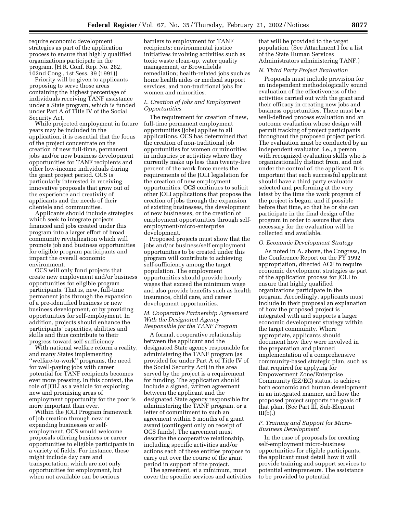require economic development strategies as part of the application process to ensure that highly qualified organizations participate in the program. [H.R. Conf. Rep. No. 282, 102nd Cong., 1st Sess. 39 (1991)]

Priority will be given to applicants proposing to serve those areas containing the highest percentage of individuals receiving TANF assistance under a State program, which is funded under Part A of Title IV of the Social Security Act.

While projected employment in future years may be included in the application, it is essential that the focus of the project concentrate on the creation of new full-time, permanent jobs and/or new business development opportunities for TANF recipients and other low-income individuals during the grant project period. OCS is particularly interested in receiving innovative proposals that grow out of the experience and creativity of applicants and the needs of their clientele and communities.

Applicants should include strategies which seek to integrate projects financed and jobs created under this program into a larger effort of broad community revitalization which will promote job and business opportunities for eligible program participants and impact the overall economic environment.

OCS will only fund projects that create new employment and/or business opportunities for eligible program participants. That is, new, full-time permanent jobs through the expansion of a pre-identified business or new business development, or by providing opportunities for self-employment. In addition, projects should enhance the participants' capacities, abilities and skills and thus contribute to their progress toward self-sufficiency.

With national welfare reform a reality, and many States implementing ''welfare-to-work'' programs, the need for well-paying jobs with career potential for TANF recipients becomes ever more pressing. In this context, the role of JOLI as a vehicle for exploring new and promising areas of employment opportunity for the poor is more important than ever.

Within the JOLI Program framework of job creation through new or expanding businesses or selfemployment, OCS would welcome proposals offering business or career opportunities to eligible participants in a variety of fields. For instance, these might include day care and transportation, which are not only opportunities for employment, but when not available can be serious

barriers to employment for TANF recipients; environmental justice initiatives involving activities such as toxic waste clean-up, water quality management, or Brownfields remediation; health-related jobs such as home health aides or medical support services; and non-traditional jobs for women and minorities.

## *L. Creation of Jobs and Employment Opportunities*

The requirement for creation of new, full-time permanent employment opportunities (jobs) applies to all applications. OCS has determined that the creation of non-traditional job opportunities for women or minorities in industries or activities where they currently make up less than twenty-five percent of the work force meets the requirements of the JOLI legislation for the creation of new employment opportunities. OCS continues to solicit other JOLI applications that propose the creation of jobs through the expansion of existing businesses, the development of new businesses, or the creation of employment opportunities through selfemployment/micro-enterprise development.

Proposed projects must show that the jobs and/or business/self employment opportunities to be created under this program will contribute to achieving self-sufficiency among the target population. The employment opportunities should provide hourly wages that exceed the minimum wage and also provide benefits such as health insurance, child care, and career development opportunities.

### *M. Cooperative Partnership Agreement With the Designated Agency Responsible for the TANF Program*

A formal, cooperative relationship between the applicant and the designated State agency responsible for administering the TANF program (as provided for under Part A of Title IV of the Social Security Act) in the area served by the project is a requirement for funding. The application should include a signed, written agreement between the applicant and the designated State agency responsible for administering the TANF program, or a letter of commitment to such an agreement within 6 months of a grant award (contingent only on receipt of OCS funds). The agreement must describe the cooperative relationship, including specific activities and/or actions each of these entities propose to carry out over the course of the grant period in support of the project.

The agreement, at a minimum, must cover the specific services and activities

that will be provided to the target population. (See Attachment I for a list of the State Human Services Administrators administering TANF.)

## *N. Third Party Project Evaluation*

Proposals must include provision for an independent methodologically sound evaluation of the effectiveness of the activities carried out with the grant and their efficacy in creating new jobs and business opportunities. There must be a well-defined process evaluation and an outcome evaluation whose design will permit tracking of project participants throughout the proposed project period. The evaluation must be conducted by an independent evaluator, i.e., a person with recognized evaluation skills who is organizationally distinct from, and not under the control of, the applicant. It is important that each successful applicant should have a third party evaluator selected and performing at the very latest by the time the work program of the project is begun, and if possible before that time, so that he or she can participate in the final design of the program in order to assure that data necessary for the evaluation will be collected and available.

#### *O. Economic Development Strategy*

As noted in A. above, the Congress, in the Conference Report on the FY 1992 appropriation, directed ACF to require economic development strategies as part of the application process for JOLI to ensure that highly qualified organizations participate in the program. Accordingly, applicants must include in their proposal an explanation of how the proposed project is integrated with and supports a larger economic development strategy within the target community. Where appropriate, applicants should document how they were involved in the preparation and planned implementation of a comprehensive community-based strategic plan, such as that required for applying for Empowerment Zone/Enterprise Community (EZ/EC) status, to achieve both economic and human development in an integrated manner, and how the proposed project supports the goals of that plan. (See Part III, Sub-Element  $III(b).$ 

## *P. Training and Support for Micro-Business Development*

In the case of proposals for creating self-employment micro-business opportunities for eligible participants, the applicant must detail how it will provide training and support services to potential entrepreneurs. The assistance to be provided to potential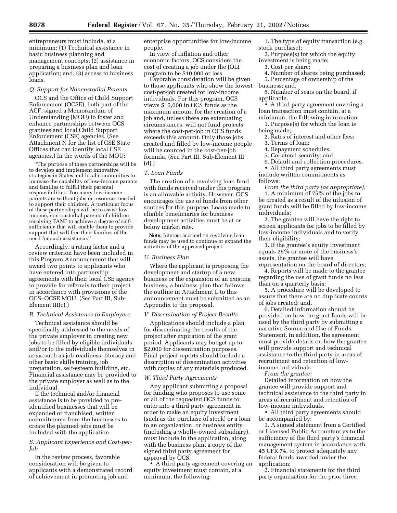entrepreneurs must include, at a minimum: (1) Technical assistance in basic business planning and management concepts; (2) assistance in preparing a business plan and loan application; and, (3) access to business loans.

#### *Q. Support for Noncustodial Parents*

OCS and the Office of Child Support Enforcement (OCSE), both part of the ACF, signed a Memorandum of Understanding (MOU) to foster and enhance partnerships between OCS grantees and local Child Support Enforcement (CSE) agencies. (See Attachment N for the list of CSE State Offices that can identify local CSE agencies.) In the words of the MOU:

''The purpose of these partnerships will be to develop and implement innovative strategies in States and local communities to increase the capability of low-income parents and families to fulfill their parental responsibilities. Too many low-income parents are without jobs or resources needed to support their children. A particular focus of these partnerships will be to assist lowincome, non-custodial parents of children receiving TANF to achieve a degree of selfsufficiency that will enable them to provide support that will free their families of the need for such assistance.''

Accordingly, a rating factor and a review criterion have been included in this Program Announcement that will award two points to applicants who have entered into partnership agreements with their local CSE agency to provide for referrals to their project in accordance with provisions of the OCS–OCSE MOU. (See Part III, Sub-Element III(c).)

#### *R. Technical Assistance to Employers*

Technical assistance should be specifically addressed to the needs of the private employer in creating new jobs to be filled by eligible individuals and/or to the individuals themselves in areas such as job-readiness, literacy and other basic skills training, job preparation, self-esteem building, etc. Financial assistance may be provided to the private employer as well as to the individual.

If the technical and/or financial assistance is to be provided to preidentified businesses that will be expanded or franchised, written commitments from the businesses to create the planned jobs must be included with the application.

## *S. Applicant Experience and Cost-per-Job*

In the review process, favorable consideration will be given to applicants with a demonstrated record of achievement in promoting job and

enterprise opportunities for low-income people.

In view of inflation and other economic factors, OCS considers the cost of creating a job under the JOLI program to be \$10,000 or less.

Favorable consideration will be given to those applicants who show the lowest cost-per-job created for low-income individuals. For this program, OCS views \$15,000 in OCS funds as the maximum amount for the creation of a job and, unless there are extenuating circumstances, will not fund projects where the cost-per-job in OCS funds exceeds this amount. Only those jobs created and filled by low-income people will be counted in the cost-per-job formula. (See Part III, Sub-Element III (d).)

## *T. Loan Funds*

The creation of a revolving loan fund with funds received under this program is an allowable activity. However, OCS encourages the use of funds from other sources for this purpose. Loans made to eligible beneficiaries for business development activities must be at or below market rate.

**Note:** Interest accrued on revolving loan funds may be used to continue or expand the activities of the approved project.

#### *U. Business Plan*

Where the applicant is proposing the development and startup of a new business or the expansion of an existing business, a business plan that follows the outline in Attachment L to this announcement must be submitted as an Appendix to the proposal.

#### *V. Dissemination of Project Results*

Applications should include a plan for disseminating the results of the project after expiration of the grant period. Applicants may budget up to \$2,000 for dissemination purposes. Final project reports should include a description of dissemination activities with copies of any materials produced.

## *W. Third Party Agreements*

Any applicant submitting a proposal for funding who proposes to use some or all of the requested OCS funds to enter into a third party agreement in order to make an equity investment (such as the purchase of stock) or a loan to an organization, or business entity (including a wholly-owned subsidiary), must include in the application, along with the business plan, a copy of the signed third party agreement for approval by OCS.

• A third party agreement covering an equity investment must contain, at a minimum, the following:

1. The type of equity transaction (e.g. stock purchase);

2. Purpose(s) for which the equity investment is being made;

3. Cost per share;

4. Number of shares being purchased;

5. Percentage of ownership of the business; and,

6. Number of seats on the board, if applicable.

• A third party agreement covering a loan transaction must contain, at a minimum, the following information:

1. Purpose(s) for which the loan is being made;

2. Rates of interest and other fees;

- 3. Terms of loan;
- 4. Repayment schedules;
- 5. Collateral security; and,
- 6. Default and collection procedures.
- All third party agreements must

include written commitments as follows:

*From the third party (as appropriate):* 

1. A minimum of 75% of the jobs to be created as a result of the infusion of grant funds will be filled by low-income individuals;

2. The grantee will have the right to screen applicants for jobs to be filled by low-income individuals and to verify their eligibility;

3. If the grantee's equity investment equals 25% or more of the business's assets, the grantee will have representation on the board of directors;

4. Reports will be made to the grantee regarding the use of grant funds no less than on a quarterly basis;

5. A procedure will be developed to assure that there are no duplicate counts of jobs created; and,

6. Detailed information should be provided on how the grant funds will be used by the third party by submitting a narrative Source and Use of Funds Statement. In addition, the agreement must provide details on how the grantee will provide support and technical assistance to the third party in areas of recruitment and retention of lowincome individuals.

*From the grantee:*

Detailed information on how the grantee will provide support and technical assistance to the third party in areas of recruitment and retention of low-income individuals.

• All third party agreements should be accompanied by:

1. A signed statement from a Certified or Licensed Public Accountant as to the sufficiency of the third party's financial management system in accordance with 45 CFR 74, to protect adequately any federal funds awarded under the application;

2. Financial statements for the third party organization for the prior three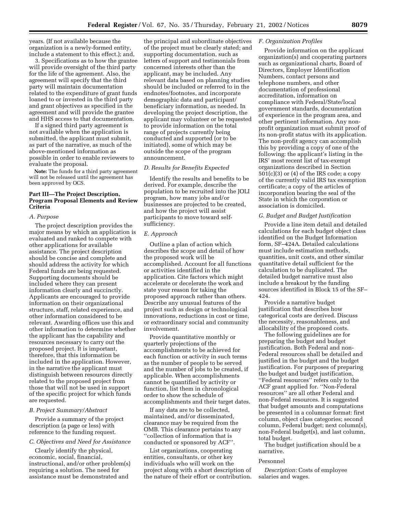years. (If not available because the organization is a newly-formed entity, include a statement to this effect.); and,

3. Specifications as to how the grantee will provide oversight of the third party for the life of the agreement. Also, the agreement will specify that the third party will maintain documentation related to the expenditure of grant funds loaned to or invested in the third party and grant objectives as specified in the agreement and will provide the grantee and HHS access to that documentation.

If a signed third party agreement is not available when the application is submitted, the applicant must submit, as part of the narrative, as much of the above-mentioned information as possible in order to enable reviewers to evaluate the proposal.

**Note:** The funds for a third party agreement will not be released until the agreement has been approved by OCS.

## **Part III—The Project Description, Program Proposal Elements and Review Criteria**

#### *A. Purpose*

The project description provides the major means by which an application is evaluated and ranked to compete with other applications for available assistance. The project description should be concise and complete and should address the activity for which Federal funds are being requested. Supporting documents should be included where they can present information clearly and succinctly. Applicants are encouraged to provide information on their organizational structure, staff, related experience, and other information considered to be relevant. Awarding offices use this and other information to determine whether the applicant has the capability and resources necessary to carry out the proposed project. It is important, therefore, that this information be included in the application. However, in the narrative the applicant must distinguish between resources directly related to the proposed project from those that will not be used in support of the specific project for which funds are requested.

#### *B. Project Summary/Abstract*

Provide a summary of the project description (a page or less) with reference to the funding request.

## *C. Objectives and Need for Assistance*

Clearly identify the physical, economic, social, financial, instructional, and/or other problem(s) requiring a solution. The need for assistance must be demonstrated and

the principal and subordinate objectives of the project must be clearly stated; and supporting documentation, such as letters of support and testimonials from concerned interests other than the applicant, may be included. Any relevant data based on planning studies should be included or referred to in the endnotes/footnotes, and incorporate demographic data and participant/ beneficiary information, as needed. In developing the project description, the applicant may volunteer or be requested to provide information on the total range of projects currently being conducted and supported (or to be initiated), some of which may be outside the scope of the program announcement.

#### *D. Results for Benefits Expected*

Identify the results and benefits to be derived. For example, describe the population to be recruited into the JOLI program, how many jobs and/or businesses are projected to be created, and how the project will assist participants to move toward selfsufficiency.

## *E. Approach*

Outline a plan of action which describes the scope and detail of how the proposed work will be accomplished. Account for all functions or activities identified in the application. Cite factors which might accelerate or decelerate the work and state your reason for taking the proposed approach rather than others. Describe any unusual features of the project such as design or technological innovations, reductions in cost or time, or extraordinary social and community involvement.

Provide quantitative monthly or quarterly projections of the accomplishments to be achieved for each function or activity in such terms as the number of people to be served and the number of jobs to be created, if applicable. When accomplishments cannot be quantified by activity or function, list them in chronological order to show the schedule of accomplishments and their target dates.

If any data are to be collected, maintained, and/or disseminated, clearance may be required from the OMB. This clearance pertains to any ''collection of information that is conducted or sponsored by ACF''.

List organizations, cooperating entities, consultants, or other key individuals who will work on the project along with a short description of the nature of their effort or contribution.

#### *F. Organization Profiles*

Provide information on the applicant organization(s) and cooperating partners such as organizational charts, Board of Directors, Employer Identification Numbers, contact persons and telephone numbers, and other documentation of professional accreditation, information on compliance with Federal/State/local government standards, documentation of experience in the program area, and other pertinent information. Any nonprofit organization must submit proof of its non-profit status with its application. The non-profit agency can accomplish this by providing a copy of one of the following: the applicant's listing in the IRS' most recent list of tax-exempt organizations described in Section  $501(c)(3)$  or  $(4)$  of the IRS code; a copy of the currently valid IRS tax exemption certificate; a copy of the articles of incorporation bearing the seal of the State in which the corporation or association is domiciled.

#### *G. Budget and Budget Justification*

Provide a line item detail and detailed calculations for each budget object class identified on the Budget Information form, SF–424A. Detailed calculations must include estimation methods, quantities, unit costs, and other similar quantitative detail sufficient for the calculation to be duplicated. The detailed budget narrative must also include a breakout by the funding sources identified in Block 15 of the SF– 424.

Provide a narrative budget justification that describes how categorical costs are derived. Discuss the necessity, reasonableness, and allocability of the proposed costs.

The following guidelines are for preparing the budget and budget justification. Both Federal and non-Federal resources shall be detailed and justified in the budget and the budget justification. For purposes of preparing the budget and budget justification, ''Federal resources'' refers only to the ACF grant applied for. ''Non-Federal resources'' are all other Federal and non-Federal resources. It is suggested that budget amounts and computations be presented in a columnar format: first column, object class categories; second column, Federal budget; next column(s), non-Federal budget(s), and last column, total budget.

The budget justification should be a narrative.

#### Personnel

*Description:* Costs of employee salaries and wages.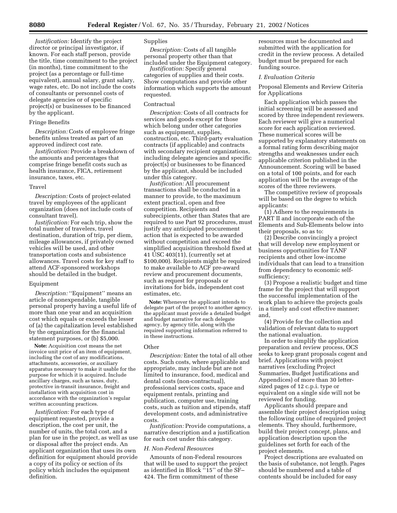*Justification:* Identify the project director or principal investigator, if known. For each staff person, provide the title, time commitment to the project (in months), time commitment to the project (as a percentage or full-time equivalent), annual salary, grant salary, wage rates, etc. Do not include the costs of consultants or personnel costs of delegate agencies or of specific project(s) or businesses to be financed by the applicant.

#### Fringe Benefits

*Description:* Costs of employee fringe benefits unless treated as part of an approved indirect cost rate.

*Justification:* Provide a breakdown of the amounts and percentages that comprise fringe benefit costs such as health insurance, FICA, retirement insurance, taxes, etc.

#### Travel

*Description:* Costs of project-related travel by employees of the applicant organization (does not include costs of consultant travel).

*Justification:* For each trip, show the total number of travelers, travel destination, duration of trip, per diem, mileage allowances, if privately owned vehicles will be used, and other transportation costs and subsistence allowances. Travel costs for key staff to attend ACF-sponsored workshops should be detailed in the budget.

#### Equipment

*Description:* ''Equipment'' means an article of nonexpendable, tangible personal property having a useful life of more than one year and an acquisition cost which equals or exceeds the lesser of (a) the capitalization level established by the organization for the financial statement purposes, or (b) \$5,000.

**Note:** Acquisition cost means the net invoice unit price of an item of equipment, including the cost of any modifications, attachments, accessories, or auxiliary apparatus necessary to make it usable for the purpose for which it is acquired. Include ancillary charges, such as taxes, duty, protective in-transit insurance, freight and installation with acquisition cost in accordance with the organization's regular written accounting practices.

*Justification:* For each type of equipment requested, provide a description, the cost per unit, the number of units, the total cost, and a plan for use in the project, as well as use or disposal after the project ends. An applicant organization that uses its own definition for equipment should provide a copy of its policy or section of its policy which includes the equipment definition.

## Supplies

*Description:* Costs of all tangible personal property other than that included under the Equipment category.

*Justification:* Specify general categories of supplies and their costs. Show computations and provide other information which supports the amount requested.

#### Contractual

*Description:* Costs of all contracts for services and goods except for those which belong under other categories such as equipment, supplies, construction, etc. Third-party evaluation contracts (if applicable) and contracts with secondary recipient organizations, including delegate agencies and specific project(s) or businesses to be financed by the applicant, should be included under this category.

*Justification:* All procurement transactions shall be conducted in a manner to provide, to the maximum extent practical, open and free competition. Recipients and subrecipients, other than States that are required to use Part 92 procedures, must justify any anticipated procurement action that is expected to be awarded without competition and exceed the simplified acquisition threshold fixed at 41 USC 403(11), (currently set at \$100,000). Recipients might be required to make available to ACF pre-award review and procurement documents, such as request for proposals or invitations for bids, independent cost estimates, etc.

**Note:** Whenever the applicant intends to delegate part of the project to another agency, the applicant must provide a detailed budget and budget narrative for each delegate agency, by agency title, along with the required supporting information referred to in these instructions.

#### **Other**

*Description:* Enter the total of all other costs. Such costs, where applicable and appropriate, may include but are not limited to insurance, food, medical and dental costs (non-contractual), professional services costs, space and equipment rentals, printing and publication, computer use, training costs, such as tuition and stipends, staff development costs, and administrative costs.

*Justification:* Provide computations, a narrative description and a justification for each cost under this category.

#### *H. Non-Federal Resources*

Amounts of non-Federal resources that will be used to support the project as identified in Block ''15'' of the SF– 424. The firm commitment of these

resources must be documented and submitted with the application for credit in the review process. A detailed budget must be prepared for each funding source.

#### *I. Evaluation Criteria*

Proposal Elements and Review Criteria for Applications

Each application which passes the initial screening will be assessed and scored by three independent reviewers. Each reviewer will give a numerical score for each application reviewed. These numerical scores will be supported by explanatory statements on a formal rating form describing major strengths and weaknesses under each applicable criterion published in the Announcement. Scoring will be based on a total of 100 points, and for each application will be the average of the scores of the three reviewers.

The competitive review of proposals will be based on the degree to which applicants:

(1) Adhere to the requirements in PART II and incorporate each of the Elements and Sub-Elements below into their proposals, so as to:

(2) Describe convincingly a project that will develop new employment or business opportunities for TANF recipients and other low-income individuals that can lead to a transition from dependency to economic selfsufficiency;

(3) Propose a realistic budget and time frame for the project that will support the successful implementation of the work plan to achieve the projects goals in a timely and cost effective manner; and,

(4) Provide for the collection and validation of relevant data to support the national evaluation.

In order to simplify the application preparation and review process, OCS seeks to keep grant proposals cogent and brief. Applications with project narratives (excluding Project Summaries, Budget Justifications and Appendices) of more than 30 lettersized pages of 12 c.p.i. type or equivalent on a single side will not be reviewed for funding.

Applicants should prepare and assemble their project description using the following outline of required project elements. They should, furthermore, build their project concept, plans, and application description upon the guidelines set forth for each of the project elements.

Project descriptions are evaluated on the basis of substance, not length. Pages should be numbered and a table of contents should be included for easy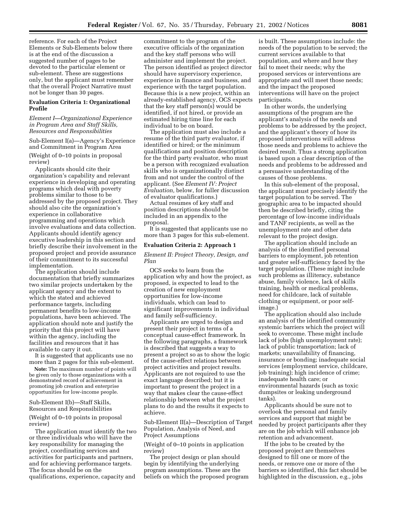reference. For each of the Project Elements or Sub-Elements below there is at the end of the discussion a suggested number of pages to be devoted to the particular element or sub-element. These are suggestions only, but the applicant must remember that the overall Project Narrative must not be longer than 30 pages.

## **Evaluation Criteria 1: Organizational Profile**

### *Element I—Organizational Experience in Program Area and Staff Skills, Resources and Responsibilities*

Sub-Element I(a)—Agency's Experience and Commitment in Program Area

(Weight of 0–10 points in proposal review)

Applicants should cite their organization's capability and relevant experience in developing and operating programs which deal with poverty problems similar to those to be addressed by the proposed project. They should also cite the organization's experience in collaborative programming and operations which involve evaluations and data collection. Applicants should identify agency executive leadership in this section and briefly describe their involvement in the proposed project and provide assurance of their commitment to its successful implementation.

The application should include documentation that briefly summarizes two similar projects undertaken by the applicant agency and the extent to which the stated and achieved performance targets, including permanent benefits to low-income populations, have been achieved. The application should note and justify the priority that this project will have within the agency, including the facilities and resources that it has available to carry it out.

It is suggested that applicants use no more than 2 pages for this sub-element.

**Note:** The maximum number of points will be given only to those organizations with a demonstrated record of achievement in promoting job creation and enterprise opportunities for low-income people.

#### Sub-Element I(b)—Staff Skills, Resources and Responsibilities

(Weight of 0–10 points in proposal review)

The application must identify the two or three individuals who will have the key responsibility for managing the project, coordinating services and activities for participants and partners, and for achieving performance targets. The focus should be on the qualifications, experience, capacity and

commitment to the program of the executive officials of the organization and the key staff persons who will administer and implement the project. The person identified as project director should have supervisory experience, experience in finance and business, and experience with the target population. Because this is a new project, within an already-established agency, OCS expects that the key staff person(s) would be identified, if not hired, or provide an estimated hiring time line for each individual to be on board.

The application must also include a resume of the third party evaluator, if identified or hired; or the minimum qualifications and position description for the third party evaluator, who must be a person with recognized evaluation skills who is organizationally distinct from and not under the control of the applicant. (See *Element IV: Project Evaluation,* below, for fuller discussion of evaluator qualifications.)

Actual resumes of key staff and position descriptions should be included in an appendix to the proposal.

It is suggested that applicants use no more than 3 pages for this sub-element.

#### **Evaluation Criteria 2: Approach 1**

#### *Element II: Project Theory, Design, and Plan*

OCS seeks to learn from the application why and how the project, as proposed, is expected to lead to the creation of new employment opportunities for low-income individuals, which can lead to significant improvements in individual and family self-sufficiency.

Applicants are urged to design and present their project in terms of a conceptual cause-effect framework. In the following paragraphs, a framework is described that suggests a way to present a project so as to show the logic of the cause-effect relations between project activities and project results. Applicants are not required to use the exact language described; but it is important to present the project in a way that makes clear the cause-effect relationship between what the project plans to do and the results it expects to achieve.

Sub-Element II(a)—Description of Target Population, Analysis of Need, and Project Assumptions

(Weight of 0–10 points in application review)

The project design or plan should begin by identifying the underlying program assumptions. These are the beliefs on which the proposed program

is built. These assumptions include: the needs of the population to be served; the current services available to that population, and where and how they fail to meet their needs; why the proposed services or interventions are appropriate and will meet those needs; and the impact the proposed interventions will have on the project participants.

In other words, the underlying assumptions of the program are the applicant's analysis of the needs and problems to be addressed by the project, and the applicant's theory of how its proposed interventions will address those needs and problems to achieve the desired result. Thus a strong application is based upon a clear description of the needs and problems to be addressed and a persuasive understanding of the causes of those problems.

In this sub-element of the proposal, the applicant must precisely identify the target population to be served. The geographic area to be impacted should then be described briefly, citing the percentage of low-income individuals and TANF recipients, as well as the unemployment rate and other data relevant to the project design.

The application should include an analysis of the identified personal barriers to employment, job retention and greater self-sufficiency faced by the target population. (These might include such problems as illiteracy, substance abuse, family violence, lack of skills training, health or medical problems, need for childcare, lack of suitable clothing or equipment, or poor selfimage.)

The application should also include an analysis of the identified community systemic barriers which the project will seek to overcome. These might include lack of jobs (high unemployment rate); lack of public transportation; lack of markets; unavailability of financing, insurance or bonding; inadequate social services (employment service, childcare, job training); high incidence of crime; inadequate health care; or environmental hazards (such as toxic dumpsites or leaking underground tanks).

Applicants should be sure not to overlook the personal and family services and support that might be needed by project participants after they are on the job which will enhance job retention and advancement.

If the jobs to be created by the proposed project are themselves designed to fill one or more of the needs, or remove one or more of the barriers so identified, this fact should be highlighted in the discussion, e.g., jobs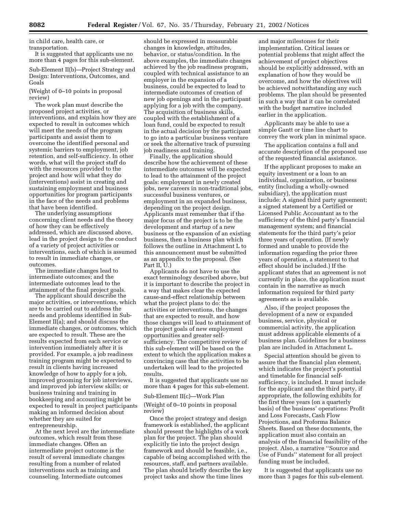in child care, health care, or transportation.

It is suggested that applicants use no more than 4 pages for this sub-element.

Sub-Element II(b)—Project Strategy and Design: Interventions, Outcomes, and Goals

(Weight of 0–10 points in proposal review)

The work plan must describe the proposed project activities, or interventions, and explain how they are expected to result in outcomes which will meet the needs of the program participants and assist them to overcome the identified personal and systemic barriers to employment, job retention, and self-sufficiency. In other words, what will the project staff do with the resources provided to the project and how will what they do (interventions) assist in creating and sustaining employment and business opportunities for program participants in the face of the needs and problems that have been identified.

The underlying assumptions concerning client needs and the theory of how they can be effectively addressed, which are discussed above, lead in the project design to the conduct of a variety of project activities or interventions, each of which is assumed to result in immediate changes, or outcomes.

The immediate changes lead to intermediate outcomes; and the intermediate outcomes lead to the attainment of the final project goals.

The applicant should describe the major activities, or interventions, which are to be carried out to address the needs and problems identified in Sub-Element II(a); and should discuss the immediate changes, or outcomes, which are expected to result. These are the results expected from each service or intervention immediately after it is provided. For example, a job readiness training program might be expected to result in clients having increased knowledge of how to apply for a job, improved grooming for job interviews, and improved job interview skills; or business training and training in bookkeeping and accounting might be expected to result in project participants making an informed decision about whether they are suited for entrepreneurship.

At the next level are the intermediate outcomes, which result from these immediate changes. Often an intermediate project outcome is the result of several immediate changes resulting from a number of related interventions such as training and counseling. Intermediate outcomes

should be expressed in measurable changes in knowledge, attitudes, behavior, or status/condition. In the above examples, the immediate changes achieved by the job readiness program, coupled with technical assistance to an employer in the expansion of a business, could be expected to lead to intermediate outcomes of creation of new job openings and in the participant applying for a job with the company. The acquisition of business skills, coupled with the establishment of a loan fund, could be expected to result in the actual decision by the participant to go into a particular business venture or seek the alternative track of pursuing job readiness and training.

Finally, the application should describe how the achievement of these intermediate outcomes will be expected to lead to the attainment of the project goals: employment in newly created jobs, new careers in non-traditional jobs, successful business ventures, or employment in an expanded business, depending on the project design. Applicants must remember that if the major focus of the project is to be the development and startup of a new business or the expansion of an existing business, then a business plan which follows the outline in Attachment L to this announcement must be submitted as an appendix to the proposal. (See Part II, U.)

Applicants do not have to use the exact terminology described above, but it is important to describe the project in a way that makes clear the expected cause-and-effect relationship between what the project plans to do: the activities or interventions, the changes that are expected to result, and how those changes will lead to attainment of the project goals of new employment opportunities and greater selfsufficiency. The competitive review of this sub-element will be based on the extent to which the application makes a convincing case that the activities to be undertaken will lead to the projected results.

It is suggested that applicants use no more than 4 pages for this sub-element.

#### Sub-Element II(c)—Work Plan

(Weight of 0–10 points in proposal review)

Once the project strategy and design framework is established, the applicant should present the highlights of a work plan for the project. The plan should explicitly tie into the project design framework and should be feasible, i.e., capable of being accomplished with the resources, staff, and partners available. The plan should briefly describe the key project tasks and show the time lines

and major milestones for their implementation. Critical issues or potential problems that might affect the achievement of project objectives should be explicitly addressed, with an explanation of how they would be overcome, and how the objectives will be achieved notwithstanding any such problems. The plan should be presented in such a way that it can be correlated with the budget narrative included earlier in the application.

Applicants may be able to use a simple Gantt or time line chart to convey the work plan in minimal space.

The application contains a full and accurate description of the proposed use of the requested financial assistance.

If the applicant proposes to make an equity investment or a loan to an individual, organization, or business entity (including a wholly-owned subsidiary), the application must include: A signed third party agreement; a signed statement by a Certified or Licensed Public Accountant as to the sufficiency of the third party's financial management system; and financial statements for the third party's prior three years of operation. (If newly formed and unable to provide the information regarding the prior three years of operation, a statement to that effect should be included.) If the applicant states that an agreement is not currently in place, the application must contain in the narrative as much information required for third party agreements as is available.

Also, if the project proposes the development of a new or expanded business, service, physical or commercial activity, the application must address applicable elements of a business plan. Guidelines for a business plan are included in Attachment L.

Special attention should be given to assure that the financial plan element, which indicates the project's potential and timetable for financial selfsufficiency, is included. It must include for the applicant and the third party, if appropriate, the following exhibits for the first three years (on a quarterly basis) of the business' operations: Profit and Loss Forecasts, Cash Flow Projections, and Proforma Balance Sheets. Based on these documents, the application must also contain an analysis of the financial feasibility of the project. Also, a narrative ''Source and Use of Funds'' statement for all project funding must be included.

It is suggested that applicants use no more than 3 pages for this sub-element.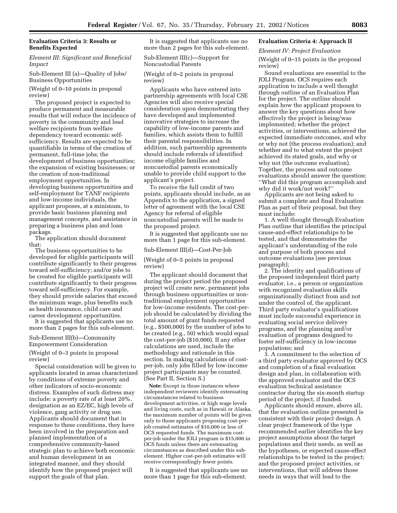## **Evaluation Criteria 3: Results or Benefits Expected**

*Element III: Significant and Beneficial Impact*

Sub-Element III (a)—Quality of Jobs/ Business Opportunities

(Weight of 0–10 points in proposal review)

The proposed project is expected to produce permanent and measurable results that will reduce the incidence of poverty in the community and lead welfare recipients from welfare dependency toward economic selfsufficiency. Results are expected to be quantifiable in terms of the creation of permanent, full-time jobs; the development of business opportunities; the expansion of existing businesses; or the creation of non-traditional employment opportunities. In developing business opportunities and self-employment for TANF recipients and low-income individuals, the applicant proposes, at a minimum, to provide basic business planning and management concepts, and assistance in preparing a business plan and loan package.

The application should document that:

The business opportunities to be developed for eligible participants will contribute significantly to their progress toward self-sufficiency; and/or jobs to be created for eligible participants will contribute significantly to their progress toward self-sufficiency. For example, they should provide salaries that exceed the minimum wage, plus benefits such as health insurance, child care and career development opportunities.

It is suggested that applicants use no more than 2 pages for this sub-element.

## Sub-Element III(b)—Community

Empowerment Consideration (Weight of 0–3 points in proposal

review)

Special consideration will be given to applicants located in areas characterized by conditions of extreme poverty and other indicators of socio-economic distress. Examples of such distress may include: a poverty rate of at least 20%, designation as an EZ/EC, high levels of violence, gang activity or drug use. Applicants should document that in response to these conditions, they have been involved in the preparation and planned implementation of a comprehensive community-based strategic plan to achieve both economic and human development in an integrated manner, and they should identify how the proposed project will support the goals of that plan.

It is suggested that applicants use no more than 2 pages for this sub-element.

Sub-Element III(c)—Support for Noncustodial Parents

(Weight of 0–2 points in proposal review)

Applicants who have entered into partnership agreements with local CSE Agencies will also receive special consideration upon demonstrating they have developed and implemented innovative strategies to increase the capability of low-income parents and families, which assists them to fulfill their parental responsibilities. In addition, such partnership agreements should include referrals of identified income eligible families and noncustodial parents economically unable to provide child support to the applicant's project.

To receive the full credit of two points, applicants should include, as an Appendix to the application, a signed letter of agreement with the local CSE Agency for referral of eligible noncustodial parents will be made to the proposed project.

It is suggested that applicants use no more than 1 page for this sub-element.

Sub-Element III(d)—Cost-Per-Job

(Weight of 0–5 points in proposal review)

The applicant should document that during the project period the proposed project will create new, permanent jobs through business opportunities or nontraditional employment opportunities for low-income residents. The cost-perjob should be calculated by dividing the total amount of grant funds requested (e.g., \$500,000) by the number of jobs to be created (e.g., 50) which would equal the cost-per-job (\$10,000). If any other calculations are used, include the methodology and rationale in this section. In making calculations of costper-job, only jobs filled by low-income project participants may be counted. (See Part II, Section S.)

**Note:** Except in those instances where independent reviewers identify extenuating circumstances related to business development activities, or high wage levels and living costs, such as in Hawaii or Alaska, the maximum number of points will be given only to those applicants proposing cost-perjob created estimates of \$10,000 or less of OCS requested funds. The maximum costper-job under the JOLI program is \$15,000 in OCS funds unless there are extenuating circumstances as described under this subelement. Higher cost-per-job estimates will receive correspondingly fewer points.

It is suggested that applicants use no more than 1 page for this sub-element.

## **Evaluation Criteria 4: Approach II**

## *Element IV: Project Evaluation*

(Weight of 0–15 points in the proposal review)

Sound evaluations are essential to the JOLI Program. OCS requires each application to include a well thought through outline of an Evaluation Plan for the project. The outline should explain how the applicant proposes to answer the key questions about how effectively the project is being/was implemented; whether the project activities, or interventions, achieved the expected immediate outcomes, and why or why not (the process evaluation); and whether and to what extent the project achieved its stated goals, and why or why not (the outcome evaluation). Together, the process and outcome evaluations should answer the question: ''What did this program accomplish and why did it work/not work?''

Applicants are not being asked to submit a complete and final Evaluation Plan as part of their proposal, but they must include:

1. A well thought through Evaluation Plan outline that identifies the principal cause-and-effect relationships to be tested, and that demonstrates the applicant's understanding of the role and purpose of both process and outcome evaluations (see previous paragraph);

2. The identity and qualifications of the proposed independent third party evaluator, i.e., a person or organization with recognized evaluation skills organizationally distinct from and not under the control of, the applicant. Third party evaluator's qualifications must include successful experience in evaluating social service delivery programs, and the planning and/or evaluation of programs designed to foster self-sufficiency in low-income populations; and

3. A commitment to the selection of a third party evaluator approved by OCS and completion of a final evaluation design and plan, in collaboration with the approved evaluator and the OCS evaluation technical assistance contractor during the six-month startup period of the project, if funded.

Applicants should ensure, above all, that the evaluation outline presented is consistent with their project design. A clear project framework of the type recommended earlier identifies the key project assumptions about the target populations and their needs, as well as the hypotheses, or expected cause-effect relationships to be tested in the project; and the proposed project activities, or interventions, that will address those needs in ways that will lead to the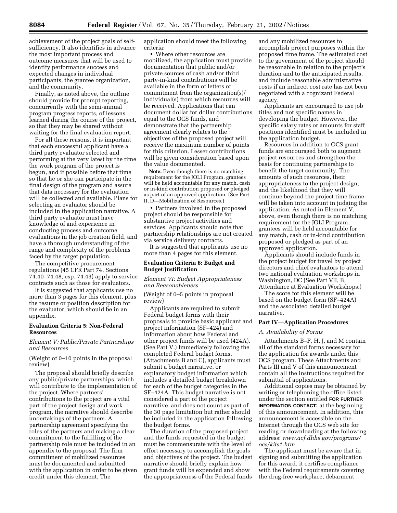achievement of the project goals of selfsufficiency. It also identifies in advance the most important process and outcome measures that will be used to identify performance success and expected changes in individual participants, the grantee organization, and the community.

Finally, as noted above, the outline should provide for prompt reporting, concurrently with the semi-annual program progress reports, of lessons learned during the course of the project, so that they may be shared without waiting for the final evaluation report.

For all these reasons, it is important that each successful applicant have a third party evaluator selected and performing at the very latest by the time the work program of the project is begun, and if possible before that time so that he or she can participate in the final design of the program and assure that data necessary for the evaluation will be collected and available. Plans for selecting an evaluator should be included in the application narrative. A third party evaluator must have knowledge of and experience in conducting process and outcome evaluations in the job creation field, and have a thorough understanding of the range and complexity of the problems faced by the target population.

The competitive procurement regulations (45 CFR Part 74, Sections 74.40–74.48, esp. 74.43) apply to service contracts such as those for evaluators.

It is suggested that applicants use no more than 3 pages for this element, plus the resume or position description for the evaluator, which should be in an appendix.

#### **Evaluation Criteria 5: Non-Federal Resources**

### *Element V: Public/Private Partnerships and Resources*

(Weight of 0–10 points in the proposal review)

The proposal should briefly describe any public/private partnerships, which will contribute to the implementation of the project. Where partners' contributions to the project are a vital part of the project design and work program, the narrative should describe undertakings of the partners. A partnership agreement specifying the roles of the partners and making a clear commitment to the fulfilling of the partnership role must be included in an appendix to the proposal. The firm commitment of mobilized resources must be documented and submitted with the application in order to be given credit under this element. The

application should meet the following criteria:

• Where other resources are mobilized, the application must provide documentation that public and/or private sources of cash and/or third party-in-kind contributions will be available in the form of letters of commitment from the organization(s)/ individual(s) from which resources will be received. Applications that can document dollar for dollar contributions equal to the OCS funds, and demonstrate that the partnership agreement clearly relates to the objectives of the proposed project will receive the maximum number of points for this criterion. Lesser contributions will be given consideration based upon the value documented.

**Note:** Even though there is no matching requirement for the JOLI Program, grantees will be held accountable for any match, cash or in-kind contribution proposed or pledged as part of an approved application. (See Part II, D—Mobilization of Resources.)

• Partners involved in the proposed project should be responsible for substantive project activities and services. Applicants should note that partnership relationships are not created via service delivery contracts.

It is suggested that applicants use no more than 4 pages for this element.

## **Evaluation Criteria 6: Budget and Budget Justification**

## *Element VI: Budget Appropriateness and Reasonableness*

(Weight of 0–5 points in proposal review)

Applicants are required to submit Federal budget forms with their proposals to provide basic applicant and project information (SF–424) and information about how Federal and other project funds will be used (424A). (See Part V.) Immediately following the completed Federal budget forms, (Attachments B and C), applicants must submit a budget narrative, or explanatory budget information which includes a detailed budget breakdown for each of the budget categories in the SF–424A. This budget narrative is not considered a part of the project narrative, and does not count as part of the 30 page limitation but rather should be included in the application following the budget forms.

The duration of the proposed project and the funds requested in the budget must be commensurate with the level of effort necessary to accomplish the goals and objectives of the project. The budget narrative should briefly explain how grant funds will be expended and show the appropriateness of the Federal funds

and any mobilized resources to accomplish project purposes within the proposed time frame. The estimated cost to the government of the project should be reasonable in relation to the project's duration and to the anticipated results, and include reasonable administrative costs if an indirect cost rate has not been negotiated with a cognizant Federal agency.

Applicants are encouraged to use job titles and not specific names in developing the budget. However, the specific salary rates or amounts for staff positions identified must be included in the application budget.

Resources in addition to OCS grant funds are encouraged both to augment project resources and strengthen the basis for continuing partnerships to benefit the target community. The amounts of such resources, their appropriateness to the project design, and the likelihood that they will continue beyond the project time frame will be taken into account in judging the application. As noted in Element V, above, even though there is no matching requirement for the JOLI Program, grantees will be held accountable for any match, cash or in-kind contribution proposed or pledged as part of an approved application.

Applicants should include funds in the project budget for travel by project directors and chief evaluators to attend two national evaluation workshops in Washington, DC (See Part VII, B, Attendance at Evaluation Workshops.)

The score for this element will be based on the budget form (SF–424A) and the associated detailed budget narrative.

#### **Part IV—Application Procedures**

#### *A. Availability of Forms*

Attachments B–F, H, J, and M contain all of the standard forms necessary for the application for awards under this OCS program. These Attachments and Parts III and V of this announcement contain all the instructions required for submittal of applications.

Additional copies may be obtained by writing or telephoning the office listed under the section entitled **FOR FURTHER INFORMATION CONTACT:** at the beginning of this announcement. In addition, this announcement is accessible on the Internet through the OCS web site for reading or downloading at the following address: *www.acf.dhhs.gov/programs/ ocs/kits1.htm*

The applicant must be aware that in signing and submitting the application for this award, it certifies compliance with the Federal requirements covering the drug-free workplace, debarment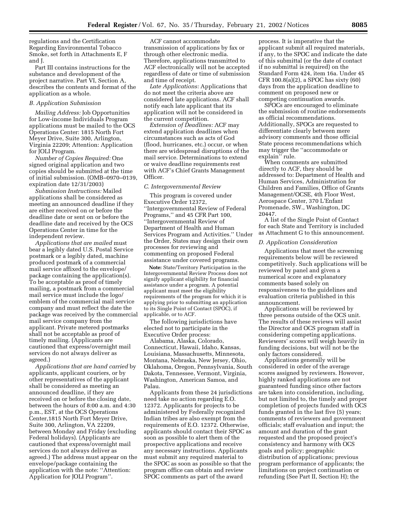regulations and the Certification Regarding Environmental Tobacco Smoke, set forth in Attachments E, F and J.

Part III contains instructions for the substance and development of the project narrative. Part VI, Section A, describes the contents and format of the application as a whole.

#### *B. Application Submission*

*Mailing Address:* Job Opportunities for Low-income Individuals Program applications must be mailed to the OCS Operations Center: 1815 North Fort Meyer Drive, Suite 300, Arlington, Virginia 22209; Attention: Application for JOLI Program.

*Number of Copies Required:* One signed original application and two copies should be submitted at the time of initial submission. (OMB–0970–0139, expiration date 12/31/2003)

*Submission Instructions:* Mailed applications shall be considered as meeting an announced deadline if they are either received on or before the deadline date or sent on or before the deadline date and received by the OCS Operations Center in time for the independent review.

*Applications that are mailed* must bear a legibly dated U.S. Postal Service postmark or a legibly dated, machine produced postmark of a commercial mail service affixed to the envelope/ package containing the application(s). To be acceptable as proof of timely mailing, a postmark from a commercial mail service must include the logo/ emblem of the commercial mail service company and must reflect the date the package was received by the commercial mail service company from the applicant. Private metered postmarks shall not be acceptable as proof of timely mailing. (Applicants are cautioned that express/overnight mail services do not always deliver as agreed.)

*Applications that are hand carried* by applicants, applicant couriers, or by other representatives of the applicant shall be considered as meeting an announced deadline, if they are received on or before the closing date, between the hours of 8:00 a.m. and 4:30 p.m., EST, at the OCS Operations Center,1815 North Fort Meyer Drive, Suite 300, Arlington, VA 22209, between Monday and Friday (excluding Federal holidays). (Applicants are cautioned that express/overnight mail services do not always deliver as agreed.) The address must appear on the envelope/package containing the application with the note: ''Attention: Application for JOLI Program''.

ACF cannot accommodate transmission of applications by fax or through other electronic media. Therefore, applications transmitted to ACF electronically will not be accepted regardless of date or time of submission and time of receipt.

*Late Applications:* Applications that do not meet the criteria above are considered late applications. ACF shall notify each late applicant that its application will not be considered in the current competition.

*Extension of Deadlines:* ACF may extend application deadlines when circumstances such as acts of God (flood, hurricanes, etc.) occur, or when there are widespread disruptions of the mail service. Determinations to extend or waive deadline requirements rest with ACF's Chief Grants Management Officer.

#### *C. Intergovernmental Review*

This program is covered under Executive Order 12372, ''Intergovernmental Review of Federal Programs,'' and 45 CFR Part 100, ''Intergovernmental Review of Department of Health and Human Services Program and Activities.'' Under the Order, States may design their own processes for reviewing and commenting on proposed Federal assistance under covered programs.

**Note:** State/Territory Participation in the Intergovernmental Review Process does not signify applicant eligibility for financial assistance under a program. A potential applicant must meet the eligibility requirements of the program for which it is applying prior to submitting an application to its Single Point of Contact (SPOC), if applicable, or to ACF.

The following jurisdictions have elected not to participate in the Executive Order process:

Alabama, Alaska, Colorado, Connecticut, Hawaii, Idaho, Kansas, Louisiana, Massachusetts, Minnesota, Montana, Nebraska, New Jersey, Ohio, Oklahoma, Oregon, Pennsylvania, South Dakota, Tennessee, Vermont, Virginia, Washington, American Samoa, and Palau.

Applicants from these 24 jurisdictions need take no action regarding E.O. 12372. Applicants for projects to be administered by Federally recognized Indian tribes are also exempt from the requirements of E.O. 12372. Otherwise, applicants should contact their SPOC as soon as possible to alert them of the prospective applications and receive any necessary instructions. Applicants must submit any required material to the SPOC as soon as possible so that the program office can obtain and review SPOC comments as part of the award

process. It is imperative that the applicant submit all required materials, if any, to the SPOC and indicate the date of this submittal (or the date of contact if no submittal is required) on the Standard Form 424, item 16a. Under 45 CFR 100.8(a)(2), a SPOC has sixty (60) days from the application deadline to comment on proposed new or competing continuation awards.

SPOCs are encouraged to eliminate the submission of routine endorsements as official recommendations. Additionally, SPOCs are requested to differentiate clearly between mere advisory comments and those official State process recommendations which may trigger the ''accommodate or explain'' rule.

When comments are submitted directly to ACF, they should be addressed to: Department of Health and Human Services, Administration for Children and Families, Office of Grants Management/OCSE, 4th Floor West, Aerospace Center, 370 L'Enfant Promenade, SW., Washington, DC 20447.

A list of the Single Point of Contact for each State and Territory is included as Attachment G to this announcement.

## *D. Application Consideration*

Applications that meet the screening requirements below will be reviewed competitively. Such applications will be reviewed by panel and given a numerical score and explanatory comments based solely on responsiveness to the guidelines and evaluation criteria published in this announcement.

Applications will be reviewed by three persons outside of the OCS unit. The results of these reviews will assist the Director and OCS program staff in considering competing applications. Reviewers' scores will weigh heavily in funding decisions, but will not be the only factors considered.

Applications generally will be considered in order of the average scores assigned by reviewers. However, highly ranked applications are not guaranteed funding since other factors are taken into consideration, including, but not limited to, the timely and proper completion of projects funded with OCS funds granted in the last five (5) years; comments of reviewers and government officials; staff evaluation and input; the amount and duration of the grant requested and the proposed project's consistency and harmony with OCS goals and policy; geographic distribution of applications; previous program performance of applicants; the limitations on project continuation or refunding (See Part II, Section H); the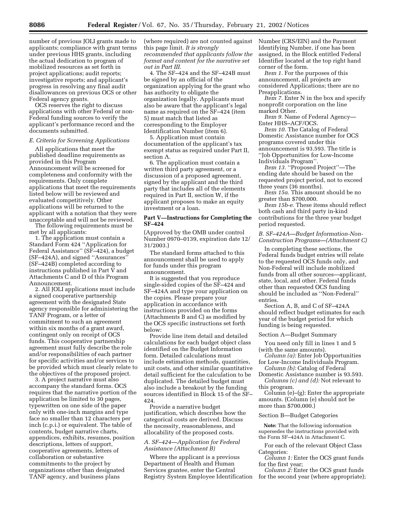number of previous JOLI grants made to applicants; compliance with grant terms under previous HHS grants, including the actual dedication to program of mobilized resources as set forth in project applications; audit reports; investigative reports; and applicant's progress in resolving any final audit disallowances on previous OCS or other Federal agency grants.

OCS reserves the right to discuss applications with other Federal or non-Federal funding sources to verify the applicant's performance record and the documents submitted.

#### *E. Criteria for Screening Applications*

All applications that meet the published deadline requirements as provided in this Program Announcement will be screened for completeness and conformity with the requirements. Only complete applications that meet the requirements listed below will be reviewed and evaluated competitively. Other applications will be returned to the applicant with a notation that they were unacceptable and will not be reviewed.

The following requirements must be met by all applicants:

1. The application must contain a Standard Form 424 ''Application for Federal Assistance'' (SF–424), a budget (SF–424A), and signed ''Assurances'' (SF–424B) completed according to instructions published in Part  $\bar{V}$  and Attachments C and D of this Program Announcement.

2. All JOLI applications must include a signed cooperative partnership agreement with the designated State agency responsible for administering the TANF Program, or a letter of commitment to such an agreement within six months of a grant award, contingent only on receipt of OCS funds. This cooperative partnership agreement must fully describe the role and/or responsibilities of each partner for specific activities and/or services to be provided which must clearly relate to the objectives of the proposed project.

3. A project narrative must also accompany the standard forms. OCS requires that the narrative portion of the application be limited to 30 pages, typewritten on one side of the paper only with one-inch margins and type face no smaller than 12 characters per inch (c.p.i.) or equivalent. The table of contents, budget narrative charts, appendices, exhibits, resumes, position descriptions, letters of support, cooperative agreements, letters of collaboration or substantive commitments to the project by organizations other than designated TANF agency, and business plans

(where required) are not counted against this page limit. *It is strongly recommended that applicants follow the format and content for the narrative set out in Part III.*

4. The SF–424 and the SF–424B must be signed by an official of the organization applying for the grant who has authority to obligate the organization legally. Applicants must also be aware that the applicant's legal name as required on the SF–424 (item 5) must match that listed as corresponding to the Employer Identification Number (item 6).

5. Application must contain documentation of the applicant's tax exempt status as required under Part II, section A.

6. The application must contain a written third party agreement, or a discussion of a proposed agreement, signed by the applicant and the third party that includes all of the elements required in Part II, section W, if the applicant proposes to make an equity investment or a loan.

### **Part V—Instructions for Completing the SF–424**

(Approved by the OMB under control Number 0970–0139, expiration date 12/ 31/2003.)

The standard forms attached to this announcement shall be used to apply for funds under this program announcement.

It is suggested that you reproduce single-sided copies of the SF–424 and SF–424A and type your application on the copies. Please prepare your application in accordance with instructions provided on the forms (Attachments B and C) as modified by the OCS specific instructions set forth below:

Provide line item detail and detailed calculations for each budget object class identified on the Budget Information form. Detailed calculations must include estimation methods, quantities, unit costs, and other similar quantitative detail sufficient for the calculation to be duplicated. The detailed budget must also include a breakout by the funding sources identified in Block 15 of the SF– 424.

Provide a narrative budget justification, which describes how the categorical costs are derived. Discuss the necessity, reasonableness, and allocability of the proposed costs.

## *A. SF–424—Application for Federal Assistance (Attachment B)*

Where the applicant is a previous Department of Health and Human Services grantee, enter the Central Registry System Employee Identification Number (CRS/EIN) and the Payment Identifying Number, if one has been assigned, in the Block entitled Federal Identifier located at the top right hand corner of the form.

*Item 1.* For the purposes of this announcement, all projects are considered Applications; there are no Preapplications.

*Item 7.* Enter N in the box and specify nonprofit corporation on the line marked Other.

*Item 9.* Name of Federal Agency— Enter HHS–ACF/OCS.

*Item 10.* The Catalog of Federal Domestic Assistance number for OCS programs covered under this announcement is 93.593. The title is ''Job Opportunities for Low-Income Individuals Program''.

*Item 13.* "Proposed Project"—The ending date should be based on the requested project period, not to exceed three years (36 months).

*Item 15a.* This amount should be no greater than \$700,000.

*Item 15b-e.* These items should reflect both cash and third party in-kind contributions for the three year budget period requested.

### *B. SF–424A—Budget Information-Non-Construction Programs—(Attachment C)*

In completing these sections, the Federal funds budget entries will relate to the requested OCS funds only, and Non-Federal will include mobilized funds from all other sources—applicant, state, local, and other. Federal funds other than requested OCS funding should be included as ''Non-Federal'' entries.

Section A, B, and C of SF–424A should reflect budget estimates for each year of the budget period for which funding is being requested.

#### Section A—Budget Summary

You need only fill in lines 1 and 5 (with the same amounts).

*Column (a):* Enter Job Opportunities for Low-Income Individuals Program.

*Column (b):* Catalog of Federal Domestic Assistance number is 93.593.

*Columns (c) and (d):* Not relevant to this program.

Column (e)–(g): Enter the appropriate amounts. (Column (e) should not be

more than \$700,000.)

## Section B—Budget Categories

**Note:** That the following information supersedes the instructions provided with the Form SF–424A in Attachment C.

For each of the relevant Object Class Categories:

*Column 1:* Enter the OCS grant funds for the first year;

*Column 2:* Enter the OCS grant funds for the second year (where appropriate);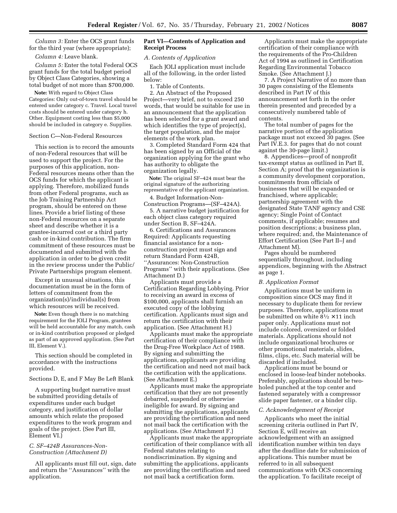*Column 3:* Enter the OCS grant funds for the third year (where appropriate);

*Column 4:* Leave blank.

*Column 5:* Enter the total Federal OCS grant funds for the total budget period by Object Class Categories, showing a total budget of not more than \$700,000.

**Note:** With regard to Object Class Categories: Only out-of-town travel should be entered under category c. Travel. Local travel costs should be entered under category h. Other. Equipment costing less than \$5,000 should be included in category e. Supplies.

#### Section C—Non-Federal Resources

This section is to record the amounts of non-Federal resources that will be used to support the project. For the purposes of this application, non-Federal resources means other than the OCS funds for which the applicant is applying. Therefore, mobilized funds from other Federal programs, such as the Job Training Partnership Act program, should be entered on these lines. Provide a brief listing of these non-Federal resources on a separate sheet and describe whether it is a grantee-incurred cost or a third party cash or in-kind contribution. The firm commitment of these resources must be documented and submitted with the application in order to be given credit in the review process under the Public/ Private Partnerships program element.

Except in unusual situations, this documentation must be in the form of letters of commitment from the organization(s)/individual(s) from which resources will be received.

**Note:** Even though there is no matching requirement for the JOLI Program, grantees will be held accountable for any match, cash or in-kind contribution proposed or pledged as part of an approved application. (See Part III, Element V.).

This section should be completed in accordance with the instructions provided.

## Sections D, E, and F May Be Left Blank

A supporting budget narrative must be submitted providing details of expenditures under each budget category, and justification of dollar amounts which relate the proposed expenditures to the work program and goals of the project. (See Part III, Element VI.)

## *C. SF–424B Assurances-Non-Construction (Attachment D)*

All applicants must fill out, sign, date and return the ''Assurances'' with the application.

### **Part VI—Contents of Application and Receipt Process**

### *A. Contents of Application*

Each JOLI application must include all of the following, in the order listed below:

1. Table of Contents.

2. An Abstract of the Proposed Project—very brief, not to exceed 250 words, that would be suitable for use in an announcement that the application has been selected for a grant award and which identifies the type of project(s), the target population, and the major elements of the work plan.

3. Completed Standard Form 424 that has been signed by an Official of the organization applying for the grant who has authority to obligate the organization legally.

**Note:** The original SF–424 must bear the original signature of the authorizing representative of the applicant organization.

4. Budget Information-Non-Construction Programs—(SF–424A).

5. A narrative budget justification for each object class category required under Section B, SF–424A.

6. Certifications and Assurances Required: Applicants requesting financial assistance for a nonconstruction project must sign and return Standard Form 424B, ''Assurances: Non-Construction Programs'' with their applications. (See Attachment D.)

Applicants must provide a Certification Regarding Lobbying. Prior to receiving an award in excess of \$100,000, applicants shall furnish an executed copy of the lobbying certification. Applicants must sign and return the certification with their application. (See Attachment H.)

Applicants must make the appropriate certification of their compliance with the Drug-Free Workplace Act of 1988. By signing and submitting the applications, applicants are providing the certification and need not mail back the certification with the applications. (See Attachment E.)

Applicants must make the appropriate certification that they are not presently debarred, suspended or otherwise ineligible for award. By signing and submitting the applications, applicants are providing the certification and need not mail back the certification with the applications. (See Attachment F.)

Applicants must make the appropriate certification of their compliance with all Federal statutes relating to nondiscrimination. By signing and submitting the applications, applicants are providing the certification and need not mail back a certification form.

Applicants must make the appropriate certification of their compliance with the requirements of the Pro-Children Act of 1994 as outlined in Certification Regarding Environmental Tobacco Smoke. (See Attachment J.)

7. A Project Narrative of no more than 30 pages consisting of the Elements described in Part IV of this announcement set forth in the order therein presented and preceded by a consecutively numbered table of contents.

The total number of pages for the narrative portion of the application package must not exceed 30 pages. (See Part IV.E.3. for pages that do not count against the 30-page limit.)

8. Appendices—proof of nonprofit tax-exempt status as outlined in Part II, Section A; proof that the organization is a community development corporation, commitments from officials of businesses that will be expanded or franchised, where applicable; partnership agreement with the designated State TANF agency and CSE agency; Single Point of Contact comments, if applicable; resumes and position descriptions; a business plan, where required; and, the Maintenance of Effort Certification (See Part II–J and Attachment M).

Pages should be numbered sequentially throughout, including appendices, beginning with the Abstract as page 1.

## *B. Application Format*

Applications must be uniform in composition since OCS may find it necessary to duplicate them for review purposes. Therefore, applications must be submitted on white  $8\frac{1}{2} \times 11$  inch paper only. Applications must not include colored, oversized or folded materials. Applications should not include organizational brochures or other promotional materials, slides, films, clips, etc. Such material will be discarded if included.

Applications must be bound or enclosed in loose-leaf binder notebooks. Preferably, applications should be twoholed punched at the top center and fastened separately with a compressor slide paper fastener, or a binder clip.

#### *C. Acknowledgement of Receipt*

Applicants who meet the initial screening criteria outlined in Part IV, Section E, will receive an acknowledgement with an assigned identification number within ten days after the deadline date for submission of applications. This number must be referred to in all subsequent communications with OCS concerning the application. To facilitate receipt of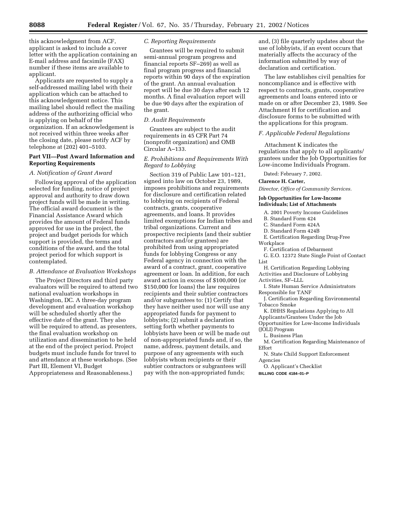this acknowledgment from ACF, applicant is asked to include a cover letter with the application containing an E-mail address and facsimile (FAX) number if these items are available to applicant.

Applicants are requested to supply a self-addressed mailing label with their application which can be attached to this acknowledgement notice. This mailing label should reflect the mailing address of the authorizing official who is applying on behalf of the organization. If an acknowledgement is not received within three weeks after the closing date, please notify ACF by telephone at (202) 401–5103.

## **Part VII—Post Award Information and Reporting Requirements**

## *A. Notification of Grant Award*

Following approval of the application selected for funding, notice of project approval and authority to draw down project funds will be made in writing. The official award document is the Financial Assistance Award which provides the amount of Federal funds approved for use in the project, the project and budget periods for which support is provided, the terms and conditions of the award, and the total project period for which support is contemplated.

## *B. Attendance at Evaluation Workshops*

The Project Directors and third party evaluators will be required to attend two national evaluation workshops in Washington, DC. A three-day program development and evaluation workshop will be scheduled shortly after the effective date of the grant. They also will be required to attend, as presenters, the final evaluation workshop on utilization and dissemination to be held at the end of the project period. Project budgets must include funds for travel to and attendance at these workshops. (See Part III, Element VI, Budget Appropriateness and Reasonableness.)

#### *C. Reporting Requirements*

Grantees will be required to submit semi-annual program progress and financial reports SF–269) as well as final program progress and financial reports within 90 days of the expiration of the grant. An annual evaluation report will be due 30 days after each 12 months. A final evaluation report will be due 90 days after the expiration of the grant.

#### *D. Audit Requirements*

Grantees are subject to the audit requirements in 45 CFR Part 74 (nonprofit organization) and OMB Circular A–133.

## *E. Prohibitions and Requirements With Regard to Lobbying*

Section 319 of Public Law 101–121, signed into law on October 23, 1989, imposes prohibitions and requirements for disclosure and certification related to lobbying on recipients of Federal contracts, grants, cooperative agreements, and loans. It provides limited exemptions for Indian tribes and tribal organizations. Current and prospective recipients (and their subtier contractors and/or grantees) are prohibited from using appropriated funds for lobbying Congress or any Federal agency in connection with the award of a contract, grant, cooperative agreement or loan. In addition, for each award action in excess of \$100,000 (or \$150,000 for loans) the law requires recipients and their subtier contractors and/or subgrantees to: (1) Certify that they have neither used nor will use any appropriated funds for payment to lobbyists; (2) submit a declaration setting forth whether payments to lobbyists have been or will be made out of non-appropriated funds and, if so, the name, address, payment details, and purpose of any agreements with such lobbyists whom recipients or their subtier contractors or subgrantees will pay with the non-appropriated funds;

and, (3) file quarterly updates about the use of lobbyists, if an event occurs that materially affects the accuracy of the information submitted by way of declaration and certification.

The law establishes civil penalties for noncompliance and is effective with respect to contracts, grants, cooperative agreements and loans entered into or made on or after December 23, 1989. See Attachment H for certification and disclosure forms to be submitted with the applications for this program.

#### *F. Applicable Federal Regulations*

Attachment K indicates the regulations that apply to all applicants/ grantees under the Job Opportunities for Low-income Individuals Program.

Dated: February 7, 2002.

#### **Clarence H. Carter,**

*Director, Office of Community Services.*

### **Job Opportunities for Low-Income Individuals; List of Attachments**

A. 2001 Poverty Income Guidelines

B. Standard Form 424

- C. Standard Form 424A
- D. Standard Form 424B

E. Certification Regarding Drug-Free Workplace

F. Certification of Debarment

G. E.O. 12372 State Single Point of Contact List

H. Certification Regarding Lobbying Activities and Disclosure of Lobbying Activities, SF–LLL

I. State Human Service Administrators Responsible for TANF

J. Certification Regarding Environmental Tobacco Smoke

K. DHHS Regulations Applying to All

Applicants/Grantees Under the Job Opportunities for Low-Income Individuals

(JOLI) Program

L. Business Plan

M. Certification Regarding Maintenance of Effort

N. State Child Support Enforcement Agencies

O. Applicant's Checklist **BILLING CODE 4184–01–P**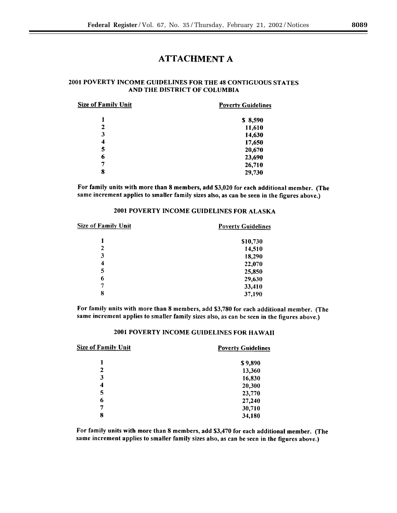## **ATTACHMENT A**

## 2001 POVERTY INCOME GUIDELINES FOR THE 48 CONTIGUOUS STATES AND THE DISTRICT OF COLUMBIA

| <b>Size of Family Unit</b> | <b>Poverty Guidelines</b> |
|----------------------------|---------------------------|
|                            | \$8,590                   |
| 2                          | 11,610                    |
| 3                          | 14,630                    |
| 4                          | 17,650                    |
| 5                          | 20,670                    |
| 6                          | 23,690                    |
| 7                          | 26,710                    |
| 8                          | 29,730                    |

For family units with more than 8 members, add \$3,020 for each additional member. (The same increment applies to smaller family sizes also, as can be seen in the figures above.)

## 2001 POVERTY INCOME GUIDELINES FOR ALASKA

| <b>Size of Family Unit</b> | <b>Poverty Guidelines</b> |
|----------------------------|---------------------------|
|                            | \$10,730                  |
| 2                          | 14,510                    |
| 3                          | 18,290                    |
| 4                          | 22,070                    |
| 5                          | 25,850                    |
| 6                          | 29,630                    |
| 7                          | 33,410                    |
| 8                          | 37,190                    |

For family units with more than 8 members, add \$3,780 for each additional member. (The same increment applies to smaller family sizes also, as can be seen in the figures above.)

## 2001 POVERTY INCOME GUIDELINES FOR HAWAII

| <b>Size of Family Unit</b> | <b>Poverty Guidelines</b> |
|----------------------------|---------------------------|
|                            | \$9,890                   |
| 2                          | 13,360                    |
| 3                          | 16,830                    |
| 4                          | 20,300                    |
| 5                          | 23,770                    |
| 6                          | 27,240                    |
| 7                          | 30,710                    |
| 8                          | 34,180                    |

For family units with more than 8 members, add \$3,470 for each additional member. (The same increment applies to smaller family sizes also, as can be seen in the figures above.)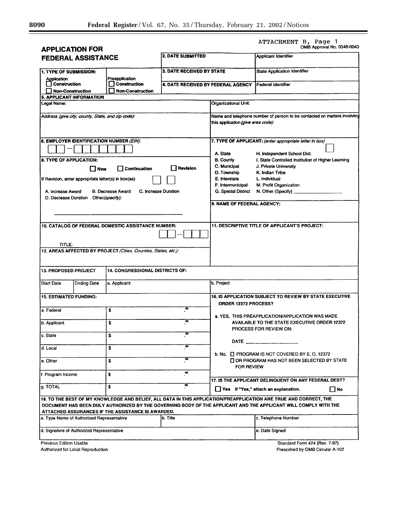| <b>APPLICATION FOR</b>                                                    |                                        |                           |                                    | ATTACHMENT B, Page 1<br>OMB Approval No. 0348-0043                                                                                                                                                                                  |
|---------------------------------------------------------------------------|----------------------------------------|---------------------------|------------------------------------|-------------------------------------------------------------------------------------------------------------------------------------------------------------------------------------------------------------------------------------|
| FEDERAL ASSISTANCE                                                        |                                        | <b>2. DATE SUBMITTED</b>  |                                    | Applicant Identifier                                                                                                                                                                                                                |
| 1. TYPE OF SUBMISSION:                                                    |                                        | 3. DATE RECEIVED BY STATE |                                    | <b>State Application Identifier</b>                                                                                                                                                                                                 |
| Application                                                               | Preapplication                         |                           |                                    |                                                                                                                                                                                                                                     |
| Construction                                                              | Construction                           |                           | 4. DATE RECEIVED BY FEDERAL AGENCY | Federal Identifier                                                                                                                                                                                                                  |
| <b>Non-Construction</b><br>5. APPLICANT INFORMATION                       | <b>Non-Construction</b>                |                           |                                    |                                                                                                                                                                                                                                     |
| Legal Name:                                                               |                                        |                           | Organizational Unit:               |                                                                                                                                                                                                                                     |
|                                                                           |                                        |                           |                                    |                                                                                                                                                                                                                                     |
| Address (give city, county, State, and zip code):                         |                                        |                           | this application (give area code)  | Name and telephone number of person to be contacted on matters involving                                                                                                                                                            |
| 6. EMPLOYER IDENTIFICATION NUMBER (EIN):                                  |                                        |                           |                                    | 7. TYPE OF APPLICANT: (enter appropriate letter in box)                                                                                                                                                                             |
|                                                                           |                                        |                           |                                    |                                                                                                                                                                                                                                     |
|                                                                           |                                        |                           | A. State                           | H. Independent School Dist.                                                                                                                                                                                                         |
| 8. TYPE OF APPLICATION:                                                   |                                        |                           | <b>B. County</b>                   | I. State Controlled Institution of Higher Learning                                                                                                                                                                                  |
| l INew                                                                    | Continuation                           | Revision                  | C. Municipal                       | J. Private University                                                                                                                                                                                                               |
| If Revision, enter appropriate letter(s) in box(es)                       |                                        |                           | D. Township<br>E. Interstate       | K. Indian Tribe<br>L. Individual                                                                                                                                                                                                    |
|                                                                           |                                        |                           | F. Intermunicipal                  | M. Profit Organization                                                                                                                                                                                                              |
| A. Increase Award                                                         | <b>B. Decrease Award</b>               | C. Increase Duration      | G. Special District                | N. Other (Specify)                                                                                                                                                                                                                  |
| D. Decrease Duration                                                      | Other/specify):                        |                           |                                    |                                                                                                                                                                                                                                     |
|                                                                           |                                        |                           | 9. NAME OF FEDERAL AGENCY:         |                                                                                                                                                                                                                                     |
|                                                                           |                                        |                           |                                    |                                                                                                                                                                                                                                     |
|                                                                           |                                        |                           |                                    |                                                                                                                                                                                                                                     |
| TITLE:<br>12. AREAS AFFECTED BY PROJECT (Cities, Counties, States, etc.): |                                        |                           |                                    |                                                                                                                                                                                                                                     |
| <b>13. PROPOSED PROJECT</b>                                               | <b>14. CONGRESSIONAL DISTRICTS OF:</b> |                           |                                    |                                                                                                                                                                                                                                     |
| <b>Start Date</b><br><b>Ending Date</b>                                   | a. Applicant                           |                           | b. Project                         |                                                                                                                                                                                                                                     |
| <b>15. ESTIMATED FUNDING:</b>                                             |                                        |                           | ORDER 12372 PROCESS?               | <b>16. IS APPLICATION SUBJECT TO REVIEW BY STATE EXECUTIVE</b>                                                                                                                                                                      |
| a. Federal                                                                | \$                                     | $\overline{\mathbf{50}}$  |                                    |                                                                                                                                                                                                                                     |
|                                                                           |                                        |                           |                                    | a. YES. THIS PREAPPLICATION/APPLICATION WAS MADE                                                                                                                                                                                    |
| b. Applicant                                                              | \$                                     | 00                        |                                    | <b>AVAILABLE TO THE STATE EXECUTIVE ORDER 12372</b>                                                                                                                                                                                 |
|                                                                           |                                        |                           |                                    | PROCESS FOR REVIEW ON:                                                                                                                                                                                                              |
| c. State                                                                  | \$                                     | œ                         |                                    |                                                                                                                                                                                                                                     |
| d. Local                                                                  | \$                                     | ∞                         |                                    | $\mathsf{DATE}$ . The contract of the contract of the contract of the contract of the contract of the contract of the contract of the contract of the contract of the contract of the contract of the contract of the contract of t |
|                                                                           |                                        |                           |                                    | b. No. <b>C</b> PROGRAM IS NOT COVERED BY E. O. 12372                                                                                                                                                                               |
| e. Other                                                                  | \$                                     | œ                         |                                    | <b>TOR PROGRAM HAS NOT BEEN SELECTED BY STATE</b>                                                                                                                                                                                   |
| f. Program Income                                                         | \$                                     | $\bf{00}$                 | <b>FOR REVIEW</b>                  |                                                                                                                                                                                                                                     |
|                                                                           |                                        |                           |                                    | 17. IS THE APPLICANT DELINQUENT ON ANY FEDERAL DEBT?                                                                                                                                                                                |
| g. TOTAL                                                                  | \$                                     | œ                         |                                    | Yes If "Yes," attach an explanation.<br>ΠNo                                                                                                                                                                                         |
|                                                                           |                                        |                           |                                    | 18. TO THE BEST OF MY KNOWLEDGE AND BELIEF, ALL DATA IN THIS APPLICATION/PREAPPLICATION ARE TRUE AND CORRECT, THE                                                                                                                   |
|                                                                           |                                        |                           |                                    | DOCUMENT HAS BEEN DULY AUTHORIZED BY THE GOVERNING BODY OF THE APPLICANT AND THE APPLICANT WILL COMPLY WITH THE                                                                                                                     |
| ATTACHED ASSURANCES IF THE ASSISTANCE IS AWARDED.                         |                                        |                           |                                    |                                                                                                                                                                                                                                     |
| a. Type Name of Authorized Representative                                 |                                        | b. Title                  |                                    | c. Telephone Number                                                                                                                                                                                                                 |
| d. Signature of Authorized Representative                                 |                                        |                           |                                    | e. Date Signed                                                                                                                                                                                                                      |
| <b>Previous Edition Usable</b>                                            |                                        |                           |                                    | Standard Form 424 (Rev. 7-97)                                                                                                                                                                                                       |
| Authorized for Local Reproduction                                         |                                        |                           |                                    | Procedbod by OMR Circular A-102                                                                                                                                                                                                     |

Ξ

Authorized for Local Reproduction

Prescribed by OMB Circular A-102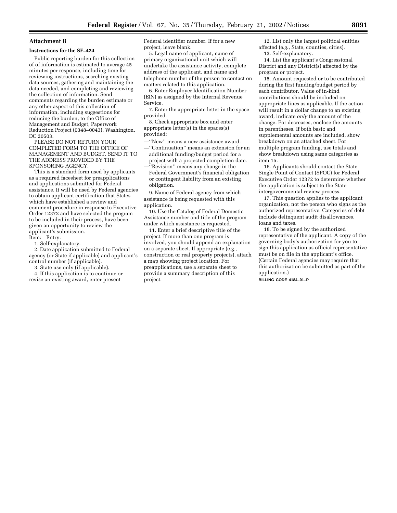#### **Attachment B**

#### **Instructions for the SF–424**

Public reporting burden for this collection of of information is estimated to average 45 minutes per response, including time for reviewing instructions, searching existing data sources, gathering and maintaining the data needed, and completing and reviewing the collection of information. Send comments regarding the burden estimate or any other aspect of this collection of information, including suggestions for reducing the burden, to the Office of Management and Budget, Paperwork Reduction Project (0348–0043), Washington, DC 20503.

PLEASE DO NOT RETURN YOUR COMPLETED FORM TO THE OFFICE OF MANAGEMENT AND BUDGET. SEND IT TO THE ADDRESS PROVIDED BY THE SPONSORING AGENCY.

This is a standard form used by applicants as a required facesheet for preapplications and applications submitted for Federal assistance. It will be used by Federal agencies to obtain applicant certification that States which have established a review and comment procedure in response to Executive Order 12372 and have selected the program to be included in their process, have been given an opportunity to review the applicant's submission.

Item: Entry:

1. Self-explanatory.

2. Date application submitted to Federal agency (or State if applicable) and applicant's control number (if applicable).

3. State use only (if applicable).

4. If this application is to continue or revise an existing award, enter present

Federal identifier number. If for a new project, leave blank.

5. Legal name of applicant, name of primary organizational unit which will undertake the assistance activity, complete address of the applicant, and name and telephone number of the person to contact on matters related to this application.

6. Enter Employer Identification Number (EIN) as assigned by the Internal Revenue Service.

7. Enter the appropriate letter in the space provided.

8. Check appropriate box and enter appropriate letter(s) in the spaces(s) provided:

—''New'' means a new assistance award.

—''Continuation'' means an extension for an additional funding/budget period for a project with a projected completion date.

—''Revision'' means any change in the Federal Government's financial obligation or contingent liability from an existing obligation.

9. Name of Federal agency from which assistance is being requested with this application.

10. Use the Catalog of Federal Domestic Assistance number and title of the program under which assistance is requested.

11. Enter a brief descriptive title of the project. If more than one program is involved, you should append an explanation on a separate sheet. If appropriate (e.g., construction or real property projects), attach a map showing project location. For preapplications, use a separate sheet to provide a summary description of this project.

12. List only the largest political entities affected (e.g., State, counties, cities). 13. Self-explanatory.

14. List the applicant's Congressional District and any District(s) affected by the program or project.

15. Amount requested or to be contributed during the first funding/budget period by each contributor. Value of in-kind contributions should be included on appropriate lines as applicable. If the action will result in a dollar change to an existing award, indicate *only* the amount of the change. For decreases, enclose the amounts in parentheses. If both basic and supplemental amounts are included, show breakdown on an attached sheet. For multiple program funding, use totals and show breakdown using same categories as item 15.

16. Applicants should contact the State Single Point of Contact (SPOC) for Federal Executive Order 12372 to determine whether the application is subject to the State intergovernmental review process.

17. This question applies to the applicant organization, not the person who signs as the authorized representative. Categories of debt include delinquent audit disallowances, loans and taxes.

18. To be signed by the authorized representative of the applicant. A copy of the governing body's authorization for you to sign this application as official representative must be on file in the applicant's office. (Certain Federal agencies may require that this authorization be submitted as part of the application.)

**BILLING CODE 4184–01–P**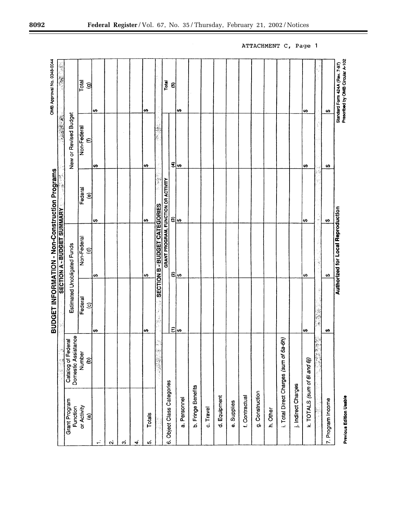|                                        |                                           | BUDGET INFORMATION - Non-Construction Programs |                                        |                                     |                       | OMB Approval No. 0348-0044                                         |
|----------------------------------------|-------------------------------------------|------------------------------------------------|----------------------------------------|-------------------------------------|-----------------------|--------------------------------------------------------------------|
|                                        |                                           |                                                | <b>SECTION A - BUDGET SUMMARY</b>      |                                     | 海 (神社)                | ¥<br>""                                                            |
| Grant Program<br>Function              | Domestic Assistance<br>Catalog of Federal |                                                | Estimated Unobligated Funds            |                                     | New or Revised Budget |                                                                    |
| or Activity<br>$\mathbf{a}$            | Number<br>ව                               | Federal<br>ହ                                   | Non-Federal<br>ତ୍ର                     | Federal<br>$\widehat{\mathbf{e}}$   | Non-Federal<br>€      | Total<br>희                                                         |
| ÷                                      |                                           | ₩                                              | ↮                                      | မာ                                  | ₩                     | ↮                                                                  |
| $\ddot{\alpha}$                        |                                           |                                                |                                        |                                     |                       |                                                                    |
| က                                      |                                           |                                                |                                        |                                     |                       |                                                                    |
| 4.                                     |                                           |                                                |                                        |                                     |                       |                                                                    |
| Totals<br>ယ်                           |                                           | ₩                                              | ↮                                      | ↮                                   | ↮                     | ₩                                                                  |
|                                        |                                           |                                                | SECTION B-BUDGET CATEGORIES            |                                     |                       |                                                                    |
| 6. Object Class Categories             |                                           |                                                |                                        | GRANT PROGRAM, FUNCTION OR ACTIVITY |                       | Total                                                              |
|                                        |                                           | Ξ                                              | $\mathbf{\widehat{S}} \mathbf{\omega}$ | <u>ଟ<math>\frac{1}{2}</math></u>    | ত∣⊕                   | C                                                                  |
| a. Personnel                           |                                           | ∣₩                                             |                                        |                                     |                       | မှ                                                                 |
| b. Fringe Benefits                     |                                           |                                                |                                        |                                     |                       |                                                                    |
| c. Travel                              |                                           |                                                |                                        |                                     |                       |                                                                    |
| d. Equipment                           |                                           |                                                |                                        |                                     |                       |                                                                    |
| e. Supplies                            |                                           |                                                |                                        |                                     |                       |                                                                    |
| f. Contractual                         |                                           |                                                |                                        |                                     |                       |                                                                    |
| g. Construction                        |                                           |                                                |                                        |                                     |                       |                                                                    |
| h. Other                               |                                           |                                                |                                        |                                     |                       |                                                                    |
| i. Total Direct Charges (sum of 6a-6h) |                                           |                                                |                                        |                                     |                       |                                                                    |
| j. Indirect Charges                    |                                           |                                                |                                        |                                     |                       |                                                                    |
| k. TOTALS (sum of 6i and 6j)           |                                           | ₩                                              | ↮                                      | ↮                                   | ↮                     | မာ                                                                 |
|                                        |                                           |                                                | 계                                      | $\mathbf{e}_i$                      |                       |                                                                    |
| 7. Program Income                      |                                           | ₩                                              | ↮                                      | ↮                                   | ↮                     | ↮                                                                  |
| Previous Edition Usable                |                                           |                                                | Authorized for Local Reproduction      |                                     |                       | Prescribed by OMB Circular A-102<br>Standard Form 424A (Rev. 7-97) |

ATTACHMENT C, Page 1

▀

 $\equiv$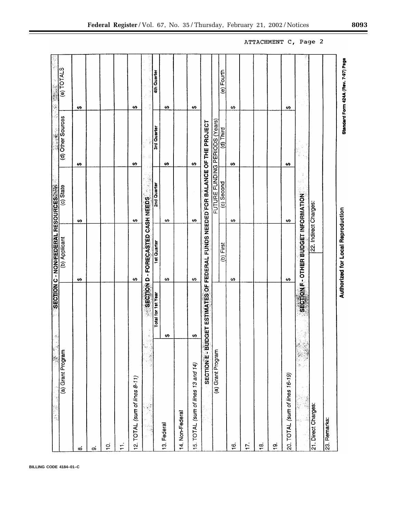| ya<br>Ma                           | ₹,                                                                 | SECTION C - NON-FEDERAL RESOURCES   |                        | 。<br>第169第129                  |                                     |
|------------------------------------|--------------------------------------------------------------------|-------------------------------------|------------------------|--------------------------------|-------------------------------------|
| (a) Grant Program                  |                                                                    | (b) Applicant                       | (c) State              | (d) Other Sources              | (e) TOTALS                          |
| $\dot{\infty}$                     |                                                                    | ₩                                   | ↮                      | ↮                              | ↮                                   |
| $\dot{\sigma}$                     |                                                                    |                                     |                        |                                |                                     |
| $\dot{q}$                          |                                                                    |                                     |                        |                                |                                     |
| $\div$                             |                                                                    |                                     |                        |                                |                                     |
| 12. TOTAL (sum of lines 8-11)      |                                                                    | ↔                                   | ↮                      | ↮                              | ↮                                   |
| ν<br>è                             |                                                                    | SECTION D - FORECASTED CASH NEEDS   | Ň,                     |                                |                                     |
|                                    | <b>Total for 1st Year</b>                                          | 1st Quarter                         | 2nd Quarter            | 3rd Quarter                    | 4th Quarter                         |
| 13. Federal                        | ↮                                                                  | ↔                                   | ₩                      | ₩                              | ↮                                   |
| 14. Non-Federal                    |                                                                    |                                     |                        |                                |                                     |
| 15. TOTAL (sum of lines 13 and 14) | ↔                                                                  | ↔                                   | ₩                      | ↮                              | ↮                                   |
| SECTIONE-BL                        | JOGET ESTIMATES OF FEDERAL FUNDS NEEDED FOR BALANCE OF THE PROJECT |                                     |                        |                                |                                     |
| (a) Grant Program                  |                                                                    |                                     |                        | FUTURE FUNDING PERIODS (Years) |                                     |
|                                    |                                                                    | (b) First                           | $(c)$ Second           | (d) Third                      | (e) Fourth                          |
| $\ddot{\mathbf{e}}$                |                                                                    | ₩                                   | ↮                      | ↮                              | ↮                                   |
| t7.                                |                                                                    |                                     |                        |                                |                                     |
| $\overset{\bullet}{=}$             |                                                                    |                                     |                        |                                |                                     |
| ç,                                 |                                                                    |                                     |                        |                                |                                     |
| 20. TOTAL (sum of lines 16-19)     |                                                                    | $\pmb{\varphi}$                     | $\boldsymbol{\varphi}$ | ↮                              | ↮                                   |
| ÿ<br>ģ.<br>ł                       |                                                                    | SECTION F- OTHER BUDGET INFORMATION |                        |                                |                                     |
| 21. Direct Charges:                |                                                                    | 22. Indirect Charges:               |                        |                                |                                     |
| 23. Remarks:                       |                                                                    |                                     |                        |                                |                                     |
|                                    |                                                                    | Authorized for Local Reproduction   |                        |                                | Standard Form 424A (Rev. 7-97) Page |

ATTACHMENT C, Page 2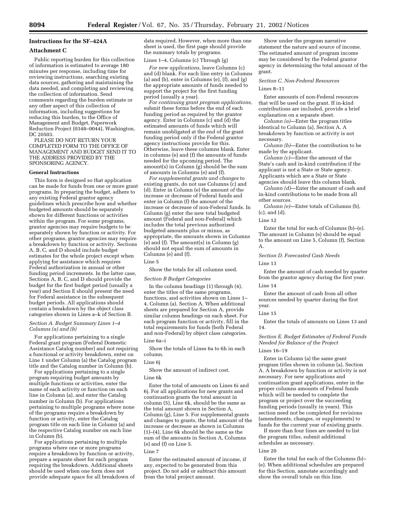## **Instructions for the SF–424A**

## **Attachment C**

Public reporting burden for this collection of information is estimated to average 180 minutes per response, including time for reviewing instructions, searching existing data sources, gathering and maintaining the data needed, and completing and reviewing the collection of information. Send comments regarding the burden estimate or any other aspect of this collection of information, including suggestions for reducing this burden, to the Office of Management and Budget, Paperwork Reduction Project (0348–0044), Washington, DC 20503.

PLEASE DO NOT RETURN YOUR COMPLETED FORM TO THE OFFICE OF MANAGEMENT AND BUDGET SEND IT TO THE ADDRESS PROVIDED BY THE SPONSORING AGENCY.

#### **General Instructions**

This form is designed so that application can be made for funds from one or more grant programs. In preparing the budget, adhere to any existing Federal grantor agency guidelines which prescribe how and whether budgeted amounts should be separately shown for different functions or activities within the program. For some programs, grantor agencies may require budgets to be separately shown by function or activity. For other programs, grantor agencies may require a breakdown by function or activity. Sections A, B, C, and D should include budget estimates for the whole project except when applying for assistance which requires Federal authorization in annual or other funding period increments. In the latter case, Sections A, B, C, and D should provide the budget for the first budget period (usually a year) and Section E should present the need for Federal assistance in the subsequent budget periods. All applications should contain a breakdown by the object class categories shown in Lines a–k of Section B.

#### *Section A. Budget Summary Lines 1–4 Columns (a) and (b)*

For applications pertaining to a single Federal grant program (Federal Domestic Assistance Catalog number) and not requiring a functional or activity breakdown, enter on Line 1 under Column (a) the Catalog program title and the Catalog number in Column (b).

For applications pertaining to a single program requiring budget amounts by multiple functions or activities, enter the name of each activity or function on each line in Column (a), and enter the Catalog number in Column (b). For applications pertaining to multiple programs where none of the programs require a breakdown by function or activity, enter the Catalog program title on each line in Column (a) and the respective Catalog number on each line in Column (b).

For applications pertaining to multiple programs where one or more programs require a breakdown by function or activity, prepare a separate sheet for each program requiring the breakdown. Additional sheets should be used when one form does not provide adequate space for all breakdown of data required. However, when more than one sheet is used, the first page should provide the summary totals by programs.

## Lines 1–4, Columns (c) Through (g)

*For new applications,* leave Columns (c) and (d) blank. For each line entry in Columns (a) and (b), enter in Columns (e), (f), and (g) the appropriate amounts of funds needed to support the project for the first funding period (usually a year).

*For continuing grant program applications,* submit these forms before the end of each funding period as required by the grantor agency. Enter in Columns (c) and (d) the estimated amounts of funds which will remain unobligated at the end of the grant funding period only if the Federal grantor agency instructions provide for this. Otherwise, leave these columns blank. Enter in columns (e) and (f) the amounts of funds needed for the upcoming period. The amount(s) in Column (g) should be the sum of amounts in Columns (e) and (f).

*For supplemental grants and changes* to existing grants, do not use Columns (c) and (d). Enter in Column (e) the amount of the increase or decrease of Federal funds and enter in Column (f) the amount of the increase or decrease of non-Federal funds. In Column (g) enter the new total budgeted amount (Federal and non-Federal) which includes the total previous authorized budgeted amounts plus or minus, as appropriate, the amounts shown in Columns (e) and (f). The amount(s) in Column (g) should not equal the sum of amounts in Columns (e) and (f).

#### Line 5

Show the totals for all columns used.

#### *Section B Budget Categories*

In the column headings (1) through (4), enter the titles of the same programs, functions, and activities shown on Lines 1-4, Column (a), Section A. When additional sheets are prepared for Section A, provide similar column headings on each sheet. For each program function or activity, fill in the total requirements for funds (both Federal and non-Federal) by object class categories. Line 6a–i

Show the totals of Lines 6a to 6h in each column.

#### Line 6j

Show the amount of indirect cost.

### Line 6k

Enter the total of amounts on Lines 6i and 6j. For all applications for new grants and continuation grants the total amount in column (5), Line 6k, should be the same as the total amount shown in Section A, Column (g), Line 5. For supplemental grants and changes to grants, the total amount of the increase or decrease as shown in Columns (1)–(4), Line 6k should be the same as the sum of the amounts in Section A, Columns (e) and (f) on Line 5.

## Line 7

Enter the estimated amount of income, if any, expected to be generated from this project. Do not add or subtract this amount from the total project amount.

Show under the program narrative statement the nature and source of income. The estimated amount of program income may be considered by the Federal grantor agency in determining the total amount of the grant.

## *Section C. Non-Federal Resources*

## Lines 8–11

Enter amounts of non-Federal resources that will be used on the grant. If in-kind contributions are included, provide a brief explanation on a separate sheet.

*Column (a)*—Enter the program titles identical to Column (a), Section A. A breakdown by function or activity is not necessary.

*Column (b)*—Enter the contribution to be made by the applicant.

*Column (c)*—Enter the amount of the State's cash and in-kind contribution if the applicant is not a State or State agency. Applicants which are a State or State agencies should leave this column blank.

*Column (d)*—Enter the amount of cash and in-kind contributions to be made from all other sources.

*Column (e)*—Enter totals of Columns (b), (c), and (d).

#### Line 12

Enter the total for each of Columns (b)–(e). The amount in Column (e) should be equal to the amount on Line 5, Column (f), Section A.

*Section D. Forecasted Cash Needs*

#### Line 13

Enter the amount of cash needed by quarter from the grantor agency during the first year. Line 14

Enter the amount of cash from all other sources needed by quarter during the first year.

## Line 15

Enter the totals of amounts on Lines 13 and 14.

*Section E. Budget Estimates of Federal Funds Needed for Balance of the Project*

## Lines 16–19

Enter in Column (a) the same grant program titles shown in column (a), Section A. A breakdown by function or activity is not necessary. For new applications and continuation grant applications, enter in the proper columns amounts of Federal funds which will be needed to complete the program or project over the succeeding funding periods (usually in years). This section need not be completed for revisions (amendments, changes, or supplements) to funds for the current year of existing grants.

If more than four lines are needed to list the program titles, submit additional schedules as necessary.

#### Line 20

Enter the total for each of the Columns (b)– (e). When additional schedules are prepared for this Section, annotate accordingly and show the overall totals on this line.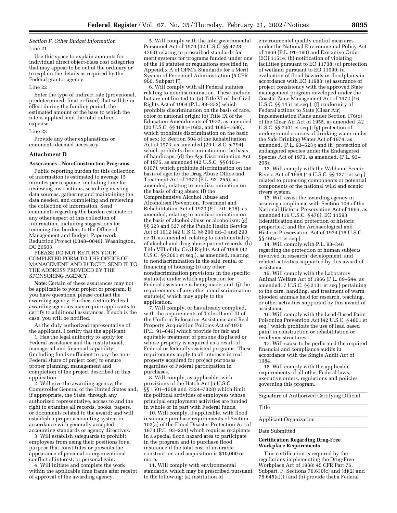#### *Section F. Other Budget Information* Line 21

Use this space to explain amounts for individual direct object-class cost categories that may appear to be out of the ordinary or to explain the details as required by the Federal grantor agency.

#### Line 22

Enter the type of indirect rate (provisional, predetermined, final or fixed) that will be in effect during the funding period, the estimated amount of the base to which the rate is applied, and the total indirect expense.

#### Line 23

Provide any other explanations or comments deemed necessary.

#### **Attachment D**

#### **Assurances—Non-Construction Programs**

Public reporting burden for this collection of information is estimated to average 15 minutes per response, including time for reviewing instructions, searching existing data sources, gathering and maintaining the data needed, and completing and reviewing the collection of information. Send comments regarding the burden estimate or any other aspect of this collection of information, including suggestions for reducing this burden, to the Office of Management and Budget, Paperwork Reduction Project (0348–0040), Washington, DC 20503.

PLEASE DO NOT RETURN YOUR COMPLETED FORM TO THE OFFICE OF MANAGEMENT AND BUDGET. SEND IT TO THE ADDRESS PROVIDED BY THE SPONSORING AGENCY.

**Note:** Certain of these assurances may not be applicable to your project or program. If you have questions, please contact the awarding agency. Further, certain Federal awarding agencies may require applicants to certify to additional assurances. If such is the case, you will be notified.

As the duly authorized representative of the applicant, I certify that the applicant:

1. Has the legal authority to apply for Federal assistance and the institutional, managerial and financial capability (including funds sufficient to pay the non-Federal share of project cost) to ensure proper planning, management and completion of the project described in this application.

2. Will give the awarding agency, the Comptroller General of the United States and, if appropriate, the State, through any authorized representative, access to and the right to examine all records, books, papers, or documents related to the award; and will establish a proper accounting system in accordance with generally accepted accounting standards or agency directives.

3. Will establish safeguards to prohibit employees from using their positions for a purpose that constitutes or presents the appearance of personal or organizational conflict of interest, or personal gain.

4. Will initiate and complete the work within the applicable time frame after receipt of approval of the awarding agency.

5. Will comply with the Intergovernmental Personnel Act of 1970 (42 U.S.C. §§ 4728– 4763) relating to prescribed standards for merit systems for programs funded under one of the 19 statutes or regulations specified in Appendix A of OPM's Standards for a Merit System of Personnel Administration (5 CFR 900, Subpart F).

6. Will comply with all Federal statutes relating to nondiscrimination. These include but are not limited to: (a) Title VI of the Civil Rights Act of 1964 (P.L. 88–352) which prohibits discrimination on the basis of race, color or national origin; (b) Title IX of the Education Amendments of 1972, as amended (20 U.S.C. §§ 1681–1683, and 1685–1686), which prohibits discrimination on the basic of sex; (c) Section 504 of the Rehabilitation Act of 1973, as amended (29 U.S.C. § 794), which prohibits discrimination on the basis of handicaps; (d) the Age Discrimination Act of 1975, as amended (42 U.S.C. §§ 6101– 6107), which prohibits discrimination on the basis of age; (e) the Drug Abuse Office and Treatment Act of 1972 (P.L. 92–255), as amended, relating to nondiscrimination on the basis of drug abuse; (f) the Comprehensive Alcohol Abuse and Alcoholism Prevention, Treatment and Rehabilitation Act of 1970 (P.L. 91–616), as amended, relating to nondiscrimination on the basis of alcohol abuse or alcoholism; (g) §§ 523 and 527 of the Public Health Service Act of 1912 (42 U.S.C. §§ 290 dd–3 and 290 ee 3), as amended, relating to confidentiality of alcohol and drug abuse patient records; (h) Title VIII of the Civil Rights Act of 1968 (42 U.S.C. §§ 3601 et seq.), as amended, relating to nondiscrimination in the sale, rental or financing of housing; (i) any other nondiscrimination provisions in the specific statute(s) under which application for Federal assistance is being made; and, (j) the requirements of any other nondiscrimination statute(s) which may apply to the application.

7. Will comply, or has already complied, with the requirements of Titles II and III of the Uniform Relocation Assistance and Real Property Acquisition Policies Act of 1970 (P.L. 91–646) which provide for fair and equitable treatment of persons displaced or whose property is acquired as a result of Federal or federally-assisted programs. These requirements apply to all interests in real property acquired for project purposes regardless of Federal participation in purchases.

8. Will comply, as applicable, with provisions of the Hatch Act (5 U.S.C. §§ 1501–1508 and 7324–7328) which limit the political activities of employees whose principal employment activities are funded in whole or in part with Federal funds.

10. Will comply, if applicable, with flood insurance purchase requirements of Section 102(a) of the Flood Disaster Protection Act of 1973 (P.L. 93–234) which requires recipients in a special flood hazard area to participate in the program and to purchase flood insurance if the total cost of insurable construction and acquisition is \$10,000 or more.

11. Will comply with environmental standards, which may be prescribed pursuant to the following: (a) institution of

environmental quality control measures under the National Environmental Policy Act of 1969 (P.L. 91–190) and Executive Order (EO) 11514; (b) notification of violating facilities pursuant to EO 11738; (c) protection of wetland pursuant to EO 11990; (d) evaluation of flood hazards in floodplains in accordance with EO 11988; (e) assurance of project consistency with the approved State management program developed under the Coastal Zone Management Act of 1972 (16 U.S.C. §§ 1451 et seq.); (f) conformity of Federal actions to State (Clear Air) Implementation Plans under Section 176(c) of the Clear Air Act of 1955, as amended (42 U.S.C. §§ 7401 et seq.); (g) protection of underground sources of drinking water under the Safe Drinking Water Act of 1974, as amended, (P.L. 93–523); and (h) protection of endangered species under the Endangered Species Act of 1973, as amended, (P.L. 93– 205).

12. Will comply with the Wild and Scenic Rivers Act of 1968 (16 U.S.C. §§ 1271 et seq.) related to protecting components or potential components of the national wild and scenic rivers system.

13. Will assist the awarding agency in assuring compliance with Section 106 of the National Historic Preservation Act of 1966, as amended (16 U.S.C. § 470), EO 11593 (identification and protection of historic properties), and the Archaeological and Historic Preservation Act of 1974 (16 U.S.C. §§ 469a–1 et seq.).

14. Will comply with P.L. 93–348 regarding the protection of human subjects involved in research, development, and related activities supported by this award of assistance.

15. Will comply with the Laboratory Animal Welfare Act of 1966 (P.L. 89–544, as amended, 7 U.S.C. §§ 2131 et seq.) pertaining to the care, handling, and treatment of warm blooded animals held for research, teaching, or other activities supported by this award of assistance.

16. Will comply with the Lead-Based Paint Poisoning Prevention Act (42 U.S.C. § 4801 et seq.) which prohibits the use of lead based paint in construction or rehabilitation or residence structures.

17. Will cause to be performed the required financial and compliance audits in accordance with the Single Audit Act of 1984.

18. Will comply with the applicable requirements of all other Federal laws, executive orders, regulations and policies governing this program.

Signature of Authorized Certifying Official

#### <u>llar</u>llandi landi son anno 1992 anno 1993. I se a control de la control de la control de la control de la control<br>Il control de la control de la control de la control de la control de la control de la control de la contro Title

## Applicant Organization

## Date Submitted **Constants and Submitted**

#### **Certification Regarding Drug-Free Workplace Requirements**

This certification is required by the regulations implementing the Drug-Free Workplace Act of 1988: 45 CFR Part 76, Subpart, F. Sections 76.630(c) and (d)(2) and 76.645(a)(1) and (b) provide that a Federal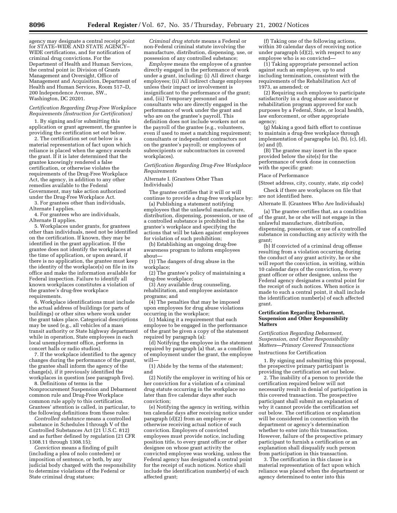agency may designate a central receipt point for STATE–WIDE AND STATE AGENCY– WIDE certifications, and for notification of criminal drug convictions. For the Department of Health and Human Services, the central point is: Division of Grants Management and Oversight, Office of Management and Acquisition, Department of Health and Human Services, Room 517–D, 200 Independence Avenue, SW., Washington, DC 20201.

## *Certification Regarding Drug-Free Workplace Requirements (Instruction for Certification)*

1. By signing and/or submitting this application or grant agreement, the grantee is providing the certification set out below.

2. The certification set out below is a material representation of fact upon which reliance is placed when the agency awards the grant. If it is later determined that the grantee knowingly rendered a false certification, or otherwise violates the requirements of the Drug-Free Workplace Act, the agency, in addition to any other remedies available to the Federal Government, may take action authorized under the Drug-Free Workplace Act.

3. For grantees other than individuals, Alternate I applies.

4. For grantees who are individuals, Alternate II applies.

5. Workplaces under grants, for grantees other than individuals, need not be identified on the certification. If known, they may be identified in the grant application. If the grantee does not identify the workplaces at the time of application, or upon award, if there is no application, the grantee must keep the identity of the workplace(s) on file in its office and make the information available for Federal inspection. Failure to identify all known workplaces constitutes a violation of the grantee's drug-free workplace requirements.

6. Workplace identifications must include the actual address of buildings (or parts of buildings) or other sites where work under the grant takes place. Categorical descriptions may be used (e.g., all vehicles of a mass transit authority or State highway department while in operation, State employees in each local unemployment office, performs in concert halls or radio studios).

7. If the workplace identified to the agency changes during the performance of the grant, the grantee shall inform the agency of the change(s), if it previously identified the workplaces in question (see paragraph five).

8. Definitions of terms in the Nonprocurement Suspension and Debarment common rule and Drug-Free Workplace common rule apply to this certification. Grantees' attention is called, in particular, to the following definitions from these rules:

*Controlled substance* means a controlled substance in Schedules I through V of the Controlled Substances Act (21 U.S.C. 812) and as further defined by regulation (21 CFR 1308.11 through 1308.15);

*Conviction* means a finding of guilt (including a plea of nolo contedere) or imposition of sentence, or both, by any judicial body charged with the responsibility to determine violations of the Federal or State criminal drug statues;

*Criminal drug statute* means a Federal or non-Federal criminal statute involving the manufacture, distribution, dispensing, use, or possession of any controlled substance;

*Employee* means the employee of a grantee directly engaged in the performance of work under a grant, including: (i) All direct charge employees; (ii) All indirect charge employees unless their impact or involvement is insignificant to the performance of the grant; and, (iii) Temporary personnel and consultants who are directly engaged in the performance of work under the grant and who are on the grantee's payroll. This definition does not include workers not on the payroll of the grantee (e.g., volunteers, even if used to meet a matching requirement; consultants or independent contractors not on the grantee's payroll; or employees of subrecipients or subcontractors in covered workplaces).

*Certification Regarding Drug-Free Workplace Requirements*

Alternate I. (Grantees Other Than Individuals)

The grantee certifies that it will or will continue to provide a drug-free workplace by:

(a) Publishing a statement notifying employees that the unlawful manufacture, distribution, dispensing, possession, or use of a controlled substance is prohibited in the grantee's workplace and specifying the actions that will be taken against employees for violation of such prohibition;

(b) Establishing an ongoing drug-free awareness program to inform employees about—

(1) The dangers of drug abuse in the workplace;

(2) The grantee's policy of maintaining a drug-free workplace;

(3) Any available drug counseling, rehabilitation, and employee assistance programs; and

(4) The penalties that may be imposed upon employees for drug abuse violations occurring in the workplace;

(c) Making it a requirement that each employee to be engaged in the performance of the grant be given a copy of the statement required by paragraph (a);

(d) Notifying the employee in the statement required by paragraph (a) that, as a condition of employment under the grant, the employee will

(1) Abide by the terms of the statement; and

(2) Notify the employer in writing of his or her conviction for a violation of a criminal drug statute occurring in the workplace no later than five calendar days after such conviction;

(e) Notifying the agency in writing, within ten calendar days after receiving notice under paragraph (d)(2) from an employee or otherwise receiving actual notice of such conviction. Employers of convicted employees must provide notice, including position title, to every grant officer or other designee on whose grant activity the convicted employee was working, unless the Federal agency has designated a central point for the receipt of such notices. Notice shall include the identification number(s) of each affected grant;

(f) Taking one of the following actions, within 30 calendar days of receiving notice under paragraph (d)(2), with respect to any employee who is so convicted—

(1) Taking appropriate personnel action against such an employee, up to and including termination, consistent with the requirements of the Rehabilitation Act of 1973, as amended; or

(2) Requiring such employee to participate satisfactorily in a drug abuse assistance or rehabilitation program approved for such purposes by a Federal, State, or local health, law enforcement, or other appropriate agency;

(g) Making a good faith effort to continue to maintain a drug-free workplace through implementation of paragraphs (a), (b), (c), (d), (e) and (f).

(B) The grantee may insert in the space provided below the site(s) for the performance of work done in connection with the specific grant:

Place of Performance

(Street address, city, county, state, zip code) Check if there are workplaces on file that are not identified here.

Alternate II. (Grantees Who Are Individuals)

(a) The grantee certifies that, as a condition of the grant, he or she will not engage in the unlawful manufacture, distribution, dispensing, possession, or use of a controlled substance in conducting any activity with the grant;

(b) If convicted of a criminal drug offense resulting from a violation occurring during the conduct of any grant activity, he or she will report the conviction, in writing, within 10 calendar days of the conviction, to every grant officer or other designee, unless the Federal agency designates a central point for the receipt of such notices. When notice is made to such a central point, it shall include the identification number(s) of each affected grant.

#### **Certification Regarding Debarment, Suspension and Other Responsibility Matters**

*Certification Regarding Debarment, Suspension, and Other Responsibility Matters—Primary Covered Transactions*

Instructions for Certification

1. By signing and submitting this proposal, the prospective primary participant is providing the certification set out below.

2. The inability of a person to provide the certification required below will not necessarily result in denial of participation in this covered transaction. The prospective participant shall submit an explanation of why it cannot provide the certification set out below. The certification or explanation will be considered in connection with the department or agency's determination whether to enter into this transaction. However, failure of the prospective primary participant to furnish a certification or an explanation shall disqualify such person from participation in this transaction.

3. The certification in this clause is a material representation of fact upon which reliance was placed when the department or agency determined to enter into this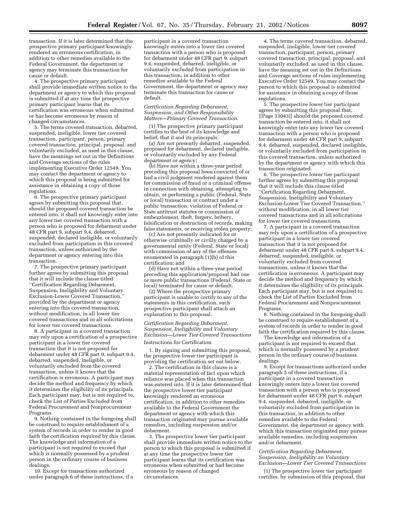transaction. If it is later determined that the prospective primary participant knowingly rendered an erroneous certification, in addition to other remedies available to the Federal Government, the department or agency may terminate this transaction for cause or default.

4. The prospective primary participant shall provide immediate written notice to the department or agency to which this proposal is submitted if at any time the prospective primary participant learns that its certification was erroneous when submitted or has become erroneous by reason of changed circumstances.

5. The terms covered transaction, debarred, suspended, ineligible, lower tier covered transaction, participant, person, primary covered transaction, principal, proposal, and voluntarily excluded, as used in this clause, have the meanings set out in the Definitions and Coverage sections of the rules implementing Executive Order 12549. You may contact the department or agency to which this proposal is being submitted for assistance in obtaining a copy of those regulations.

6. The prospective primary participant agrees by submitting this proposal that, should the proposed covered transaction be entered into, it shall not knowingly enter into any lower tier covered transaction with a person who is proposed for debarment under 48 CFR part 9, subpart 9.4, debarred, suspended, declared ineligible, or voluntarily excluded from participation in this covered transaction, unless authorized by the department or agency entering into this transaction.

7. The prospective primary participant further agrees by submitting this proposal that it will include the clause titled ''Certification Regarding Debarment, Suspension, Ineligibility and Voluntary Exclusion-Lower Covered Transaction,'' provided by the department or agency entering into this covered transaction, without modification, in all lower tier covered transactions and in all solicitations for lower tier covered transactions.

8. A participant in a covered transaction may rely upon a certification of a prospective participant in a lower tier covered transaction that it is not proposed for debarment under 48 CFR part 9, subpart 9.4, debarred, suspended, ineligible, or voluntarily excluded from the covered transaction, unless it knows that the certification is erroneous. A participant may decide the method and frequency by which it determines the eligibility of its principals. Each participant may, but is not required to, check the List of Parties Excluded from Federal Procurement and Nonprocurement Programs.

9. Nothing contained in the foregoing shall be construed to require establishment of a system of records in order to render in good faith the certification required by this clause. The knowledge and information of a participant is not required to exceed that which is normally possessed by a prudent person in the ordinary course of business dealings.

10. Except for transactions authorized under paragraph 6 of these instructions, if a

participant in a covered transaction knowingly enters into a lower tier covered transaction with a person who is proposed for debarment under 48 CFR part 9, subpart 9.4, suspended, debarred, ineligible, or voluntarily excluded from participation in this transaction, in addition to other remedies available to the Federal Government, the department or agency may terminate this transaction for cause or default.

#### *Certification Regarding Debarment, Suspension, and Other Responsibility Matters—Primary Covered Transaction.*

(1) The prospective primary participant certifies to the best of its knowledge and belief, that it and its principals:

(a) Are not presently debarred, suspended, proposed for debarment, declared ineligible, or voluntarily excluded by any Federal department or agency;

(b) Have not within a three-year period preceding this proposal been convicted of or had a civil judgment rendered against them for commission of fraud or a criminal offense in connection with obtaining, attempting to obtain, or performing a public (Federal, State or local) transaction or contract under a public transaction; violation of Federal or State antitrust statutes or commission of embezzlement, theft, forgery, bribery, falsification or destruction of records, making false statements, or receiving stolen property;

(c) Are not presently indicated for or otherwise criminally or civilly charged by a governmental entity (Federal, State or local) with commission of any of the offenses enumerated in paragraph (1)(b) of this certification; and

(d) Have not within a three-year period preceding this application/proposal had one or more public transactions (Federal, State or local) terminated for cause or default.

(2) Where the prospective primary participant is unable to certify to any of the statements in this certification, such prospective participant shall attach an explanation to this proposal.

## *Certification Regarding Debarment, Suspension, Ineligibility and Voluntary Exclusion—Lower Tier Covered Transactions*

#### Instructions for Certification

1. By signing and submitting this proposal, the prospective lower tier participant is providing the certification set out below.

2. The certification in this clause is a material representation of fact upon which reliance was placed when this transaction was entered into. If it is later determined that the prospective lower tier participant knowingly rendered an erroneous certification, in addition to other remedies available to the Federal Government the department or agency with which this transaction originated may pursue available remedies, including suspension and/or debarment.

3. The prospective lower tier participant shall provide immediate written notice to the person to which this proposal is submitted if at any time the prospective lower tier participant learns that its certification was erroneous when submitted or had become erroneous by reason of changed circumstances.

4. The terms covered transaction, debarred, suspended, ineligible, lower tier covered transaction, participant, person, primary covered transaction, principal, proposal, and voluntarily excluded, as used in this clause, have the meaning set out in the Definitions and Coverage sections of rules implementing Executive Order 12549. You may contact the person to which this proposal is submitted for assistance in obtaining a copy of those regulations.

5. The prospective lower tier participant agrees by submitting this proposal that, [[Page 33043]] should the proposed covered transaction be entered into, it shall not knowingly enter into any lower tier covered transaction with a person who is proposed for debarment under 48 CFR part 9, subpart 9.4, debarred, suspended, declared ineligible, or voluntarily excluded from participation in this covered transaction, unless authorized by the department or agency with which this transaction originated.

6. The prospective lower tier participant further agrees by submitting this proposal that it will include this clause titled ''Certification Regarding Debarment, Suspension, Ineligibility and Voluntary Exclusion-Lower Tier Covered Transaction,'' without modification, in all lower tier covered transactions and in all solicitations for lower tier covered transactions.

7. A participant in a covered transaction may rely upon a certification of a prospective participant in a lower tier covered transaction that it is not proposed for debarment under 48 CFR part 9, subpart 9.4, debarred, suspended, ineligible, or voluntarily excluded from covered transactions, unless it knows that the certification is erroneous. A participant may decide the method and frequency by which it determines the eligibility of its principals. Each participant may, but is not required to, check the List of Parties Excluded from Federal Procurement and Nonprocurement Programs.

8. Nothing contained in the foregoing shall be construed to require establishment of a system of records in order to render in good faith the certification required by this clause.

The knowledge and information of a participant is not required to exceed that which is normally possessed by a prudent person in the ordinary course of business dealings.

9. Except for transactions authorized under paragraph 5 of these instructions, if a participant in a covered transaction knowingly enters into a lower tier covered transaction with a person who is proposed for debarment under 48 CFR part 9, subpart 9.4, suspended, debarred, ineligible, or voluntarily excluded from participation in this transaction, in addition to other remedies available to the Federal Government, the department or agency with which this transaction originated may pursue available remedies, including suspension and/or debarment.

#### *Certification Regarding Debarment, Suspension, Ineligibility an Voluntary Exclusion—Lower Tier Covered Transactions*

(1) The prospective lower tier participant certifies, by submission of this proposal, that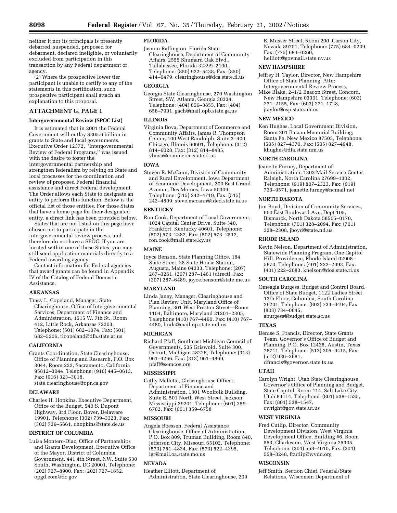neither it nor its principals is presently debarred, suspended, proposed for debarment, declared ineligible, or voluntarily excluded from participation in this transaction by any Federal department or agency.

(2) Where the prospective lower tier participant is unable to certify to any of the statements in this certification, such prospective participant shall attach an explanation to this proposal.

## **ATTACHMENT G, PAGE 1**

## **Intergovernmental Review (SPOC List)**

It is estimated that in 2001 the Federal Government will outlay \$305.6 billion in grants to State and local governments. Executive Order 12372, ''Intergovernmental Review of Federal Programs,'' was issued with the desire to foster the intergovernmental partnership and strengthen federalism by relying on State and local processes for the coordination and review of proposed Federal financial assistance and direct Federal development. The Order allows each State to designate an entity to perform this function. Below is the official list of those entities. For those States that have a home page for their designated entity, a direct link has been provided below.

States that are not listed on this page have chosen not to participate in the intergovernmental review process, and therefore do not have a SPOC. If you are located within one of these States, you may still send application materials directly to a Federal awarding agency.

Contact information for Federal agencies that award grants can be found in Appendix IV of the Catalog of Federal Domestic Assistance.

## **ARKANSAS**

Tracy L. Copeland, Manager, State Clearinghouse, Office of Intergovernmental Services, Department of Finance and Administration, 1515 W. 7th St., Room 412, Little Rock, Arkansas 72203, Telephone: (501) 682–1074, Fax: (501) 682–5206, tlcopeland@dfa.state.ar.us

## **CALIFORNIA**

Grants Coordination, State Clearinghouse, Office of Planning and Research, P.O. Box 3044, Room 222, Sacramento, California 95812–3044, Telephone: (916) 445–0613, Fax: (916) 323–3018, state.clearinghouse@opr.ca.gov

#### **DELAWARE**

Charles H. Hopkins, Executive Department, Office of the Budget, 540 S. Dupont Highway, 3rd Floor, Dover, Delaware 19901, Telephone: (302) 739–3323, Fax: (302) 739–5661, chopkins@state.de.us

#### **DISTRICT OF COLUMBIA**

Luisa Montero-Diaz, Office of Partnerships and Grants Development, Executive Office of the Mayor, District of Columbia Government, 441 4th Street, NW, Suite 530 South, Washington, DC 20001, Telephone: (202) 727–8900, Fax: (202) 727–1652, opgd.eom@dc.gov

## **FLORIDA**

Jasmin Raffington, Florida State Clearinghouse, Department of Community Affairs, 2555 Shumard Oak Blvd., Tallahassee, Florida 32399–2100, Telephone: (850) 922–5438, Fax: (850) 414–0479, clearinghouse@dca.state.fl.us

## **GEORGIA**

Georgia State Clearinghouse, 270 Washington Street, SW, Atlanta, Georgia 30334, Telephone: (404) 656–3855, Fax: (404) 656–7901, gach@mail.opb.state.ga.us

#### **ILLINOIS**

Virginia Bova, Department of Commerce and Community Affairs, James R. Thompson Center, 100 West Randolph, Suite 3–400, Chicago, Illinois 60601, Telephone: (312) 814–6028, Fax: (312) 814–8485, vbova@commerce.state.il.us

#### **IOWA**

Steven R. McCann, Division of Community and Rural Development, Iowa Department of Economic Development, 200 East Grand Avenue, Des Moines, Iowa 50309, Telephone: (515) 242–4719, Fax: (515) 242–4809, steve.mccann@ided.state.ia.us

#### **KENTUCKY**

Ron Cook, Department of Local Government, 1024 Capital Center Drive, Suite 340, Frankfort, Kentucky 40601, Telephone: (502) 573–2382, Fax: (502) 573–2512, ron.cook@mail.state.ky.us

#### **MAINE**

Joyce Benson, State Planning Office, 184 State Street, 38 State House Station, Augusta, Maine 04333, Telephone: (207) 287–3261, (207) 287–1461 (direct), Fax: (207) 287–6489, joyce.benson@state.me.us

#### **MARYLAND**

Linda Janey, Manager, Clearinghouse and Plan Review Unit, Maryland Office of Planning, 301 West Preston Street—Room 1104, Baltimore, Maryland 21201–2305, Telephone (410) 767–4490, Fax: (410) 767– 4480, linda@mail.op.state.md.us

## **MICHIGAN**

Richard Pfaff, Southeast Michigan Council of Governments, 535 Griswold, Suite 300, Detroit, Michigan 48226, Telephone: (313) 961–4266, Fax: (313) 961–4869, pfaff@semcog.org

## **MISSISSIPPI**

Cathy Mallette, Clearinghouse Officer, Department of Finance and Administration, 1301 Woolfolk Building, Suite E, 501 North West Street, Jackson, Mississippi 39201, Telephone: (601) 359– 6762, Fax: (601) 359–6758

#### **MISSOURI**

Angela Boessen, Federal Assistance Clearinghouse, Office of Administration, P.O. Box 809, Truman Building, Room 840, Jefferson City, Missouri 65102, Telephone: (573) 751–4834, Fax: (573) 522–4395, igr@mail.oa.state.mo.us

## **NEVADA**

Heather Elliott, Department of Administration, State Clearinghouse, 209

E. Musser Street, Room 200, Carson City, Nevada 89701, Telephone: (775) 684–0209, Fax: (775) 684–0260, helliott@govmail.state.nv.us

## **NEW HAMPSHIRE**

- Jeffrey H. Taylor, Director, New Hampshire Office of State Planning, Attn:
- Intergovernmental Review Process, Mike Blake, 2–1/2 Beacon Street, Concord, New Hampshire 03301, Telephone: (603) 271–2155, Fax: (603) 271–1728, jtaylor@osp.state.nh.us

## **NEW MEXICO**

Ken Hughes, Local Government Division, Room 201 Bataan Memorial Building, Santa Fe, New Mexico 87503, Telephone: (505) 827–4370, Fax: (505) 827–4948, khughes@dfa.state.nm.us

### **NORTH CAROLINA**

Jeanette Furney, Department of Administration, 1302 Mail Service Center, Raleigh, North Carolina 27699–1302, Telephone: (919) 807–2323, Fax: (919) 733–9571, jeanette.furney@ncmail.net

#### **NORTH DAKOTA**

Jim Boyd, Division of Community Services, 600 East Boulevard Ave, Dept 105, Bismarck, North Dakota 58505–0170, Telephone: (701) 328–2094, Fax: (701) 328–2308, jboyd@state.nd.us

#### **RHODE ISLAND**

Kevin Nelson, Department of Administration, Statewide Planning Program, One Capitol Hill, Providence, Rhode Island 02908– 5870, Telephone: (401) 222–2093, Fax: (401) 222–2083, knelson@doa.state.ri.us

#### **SOUTH CAROLINA**

- Omeagia Burgess, Budget and Control Board, Office of State Budget, 1122 Ladies Street, 12th Floor, Columbia, South Carolina 29201, Telephone: (803) 734–0494, Fax: (803) 734–0645,
	- aburgess@budget.state.sc.us

#### **TEXAS**

- Denise S. Francis, Director, State Grants Team, Governor's Office of Budget and Planning, P.O. Box 12428, Austin, Texas 78711, Telephone: (512) 305–9415, Fax: (512) 936–2681,
	- dfrancis@governor.state.tx.us

#### **UTAH**

Carolyn Wright, Utah State Clearinghouse, Governor's Office of Planning and Budget, State Capitol, Room 114, Salt Lake City, Utah 84114, Telephone: (801) 538–1535, Fax: (801) 538–1547, cwright@gov.state.ut.us

## **WEST VIRGINIA**

Fred Cutlip, Director, Community Development Division, West Virginia Development Office, Building #6, Room 553, Charleston, West Virginia 25305, Telephone: (304) 558–4010, Fax: (304) 558–3248, fcutlip@wvdo.org

## **WISCONSIN**

Jeff Smith, Section Chief, Federal/State Relations, Wisconsin Department of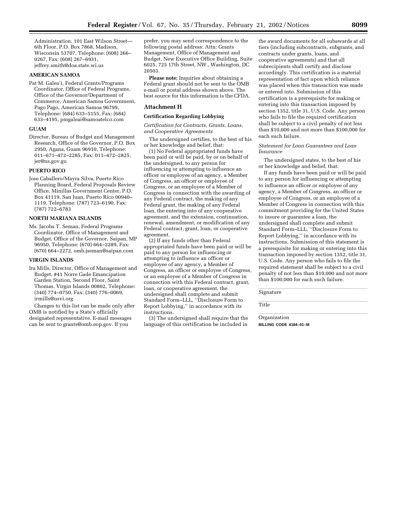Administration, 101 East Wilson Street— 6th Floor, P.O. Box 7868, Madison, Wisconsin 53707, Telephone: (608) 266– 0267, Fax: (608) 267–6931, jeffrey.smith@doa.state.wi.us

## **AMERICAN SAMOA**

Pat M. Galea'i, Federal Grants/Programs Coordinator, Office of Federal Programs, Office of the Governor/Department of Commerce, American Samoa Government, Pago Pago, American Samoa 96799, Telephone: (684) 633–5155, Fax: (684) 633–4195, pmgaleai@samoatelco.com

## **GUAM**

Director, Bureau of Budget and Management Research, Office of the Governor, P.O. Box 2950, Agana, Guam 96910, Telephone: 011–671–472–2285, Fax: 011–472–2825, jer@ns.gov.gu

#### **PUERTO RICO**

Jose Caballero/Mayra Silva, Puerto Rico Planning Board, Federal Proposals Review Office, Minillas Government Center, P.O. Box 41119, San Juan, Puerto Rico 00940– 1119, Telephone: (787) 723–6190, Fax: (787) 722–6783

#### **NORTH MARIANA ISLANDS**

Ms. Jacoba T. Seman, Federal Programs Coordinator, Office of Management and Budget, Office of the Governor, Saipan, MP 96950, Telephone: (670) 664–2289, Fax: (670) 664–2272, omb.jseman@saipan.com

#### **VIRGIN ISLANDS**

Ira Mills, Director, Office of Management and Budget, #41 Norre Gade Emancipation Garden Station, Second Floor, Saint Thomas, Virgin Islands 00802, Telephone: (340) 774–0750, Fax: (340) 776–0069, irmills@usvi.org

Changes to this list can be made only after OMB is notified by a State's officially designated representative. E-mail messages can be sent to grants@omb.eop.gov. If you

prefer, you may send correspondence to the following postal address: Attn: Grants Management, Office of Management and Budget, New Executive Office Building, Suite 6025, 725 17th Street, NW., Washington, DC 20503.

**Please note:** Inquiries about obtaining a Federal grant should not be sent to the OMB e-mail or postal address shown above. The best source for this information is the CFDA.

#### **Attachment H**

## **Certification Regarding Lobbying**

*Certification for Contracts, Grants, Loans, and Cooperative Agreements*

The undersigned certifies, to the best of his or her knowledge and belief, that:

(1) No Federal appropriated funds have been paid or will be paid, by or on behalf of the undersigned, to any person for influencing or attempting to influence an officer or employee of an agency, a Member of Congress, an officer or employee of Congress, or an employee of a Member of Congress in connection with the awarding of any Federal contract, the making of any Federal grant, the making of any Federal loan, the entering into of any cooperative agreement, and the extension, continuation, renewal, amendment, or modification of any Federal contract, grant, loan, or cooperative agreement.

(2) If any funds other than Federal appropriated funds have been paid or will be paid to any person for influencing or attempting to influence an officer or employee of any agency, a Member of Congress, an officer or employee of Congress, or an employee of a Member of Congress in connection with this Federal contract, grant, loan, or cooperative agreement, the undersigned shall complete and submit Standard Form–LLL, ''Disclosure Form to Report Lobbying,'' in accordance with its instructions.

(3) The undersigned shall require that the language of this certification be included in

the award documents for all subawards at all tiers (including subcontracts, subgrants, and contracts under grants, loans, and cooperative agreements) and that all subrecipients shall certify and disclose accordingly. This certification is a material representation of fact upon which reliance was placed when this transaction was made or entered into. Submission of this certification is a prerequisite for making or entering into this transaction imposed by section 1352, title 31, U.S. Code. Any person who fails to file the required certification shall be subject to a civil penalty of not less than \$10,000 and not more than \$100,000 for each such failure.

#### *Statement for Loan Guarantees and Loan Insurance*

The undersigned states, to the best of his or her knowledge and belief, that:

If any funds have been paid or will be paid to any person for influencing or attempting to influence an officer or employee of any agency, a Member of Congress, an officer or employee of Congress, or an employee of a Member of Congress in connection with this commitment providing for the United States to insure or guarantee a loan, the undersigned shall complete and submit Standard Form–LLL, ''Disclosure Form to Report Lobbying,'' in accordance with its instructions. Submission of this statement is a prerequisite for making or entering into this transaction imposed by section 1352, title 31, U.S. Code. Any person who fails to file the required statement shall be subject to a civil penalty of not less than \$10,000 and not more than \$100,000 for each such failure.

Signature **Signature** 

lllllllllllllllllllll Title

**Organization BILLING CODE 4184–01–M**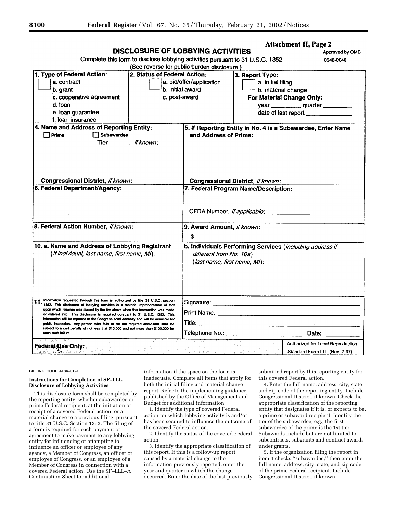|                                                                                                                                                                       |                                             | Attachment H, Page 2                                        |                                     |
|-----------------------------------------------------------------------------------------------------------------------------------------------------------------------|---------------------------------------------|-------------------------------------------------------------|-------------------------------------|
| DISCLOSURE OF LOBBYING ACTIVITIES                                                                                                                                     |                                             |                                                             | Approved by OMB                     |
| Complete this form to disclose lobbying activities pursuant to 31 U.S.C. 1352                                                                                         |                                             |                                                             | 0348-0046                           |
|                                                                                                                                                                       | (See reverse for public burden disclosure.) |                                                             |                                     |
| 1. Type of Federal Action:<br>2. Status of Federal Action:                                                                                                            |                                             | 3. Report Type:                                             |                                     |
| a. contract                                                                                                                                                           | a. bid/offer/application                    | a. initial filing                                           |                                     |
| b. grant                                                                                                                                                              | b. initial award                            | b. material change                                          |                                     |
| c. cooperative agreement                                                                                                                                              | c. post-award                               | For Material Change Only:                                   |                                     |
| d. Ioan                                                                                                                                                               |                                             |                                                             | year ____________ quarter _________ |
| e. loan guarantee                                                                                                                                                     |                                             |                                                             |                                     |
| f. loan insurance                                                                                                                                                     |                                             |                                                             |                                     |
| 4. Name and Address of Reporting Entity:                                                                                                                              |                                             | 5. If Reporting Entity in No. 4 is a Subawardee, Enter Name |                                     |
| Subawardee<br>$\Box$ Prime                                                                                                                                            | and Address of Prime:                       |                                                             |                                     |
| Tier _______, if known:                                                                                                                                               |                                             |                                                             |                                     |
|                                                                                                                                                                       |                                             |                                                             |                                     |
|                                                                                                                                                                       |                                             |                                                             |                                     |
|                                                                                                                                                                       |                                             |                                                             |                                     |
|                                                                                                                                                                       |                                             |                                                             |                                     |
| Congressional District, if known:                                                                                                                                     |                                             | Congressional District, if known:                           |                                     |
| 6. Federal Department/Agency:                                                                                                                                         |                                             | 7. Federal Program Name/Description:                        |                                     |
|                                                                                                                                                                       |                                             |                                                             |                                     |
|                                                                                                                                                                       |                                             |                                                             |                                     |
|                                                                                                                                                                       |                                             | CFDA Number, if applicable: ________________                |                                     |
|                                                                                                                                                                       |                                             |                                                             |                                     |
| 8. Federal Action Number, if known:                                                                                                                                   | 9. Award Amount, if known:                  |                                                             |                                     |
|                                                                                                                                                                       | \$                                          |                                                             |                                     |
| 10. a. Name and Address of Lobbying Registrant                                                                                                                        |                                             | b. Individuals Performing Services (including address if    |                                     |
| (if individual, last name, first name, MI):                                                                                                                           | different from No. 10a)                     |                                                             |                                     |
|                                                                                                                                                                       | (last name, first name, MI):                |                                                             |                                     |
|                                                                                                                                                                       |                                             |                                                             |                                     |
|                                                                                                                                                                       |                                             |                                                             |                                     |
|                                                                                                                                                                       |                                             |                                                             |                                     |
|                                                                                                                                                                       |                                             |                                                             |                                     |
| Information requested through this form is authorized by title 31 U.S.C. section<br>11.                                                                               |                                             |                                                             |                                     |
| 1352. This disclosure of lobbying activities is a material representation of fact<br>upon which reliance was placed by the tier above when this transaction was made  |                                             |                                                             |                                     |
| or entered into. This disclosure is required pursuant to 31 U.S.C. 1352. This<br>information will be reported to the Congress semi-annually and will be available for |                                             |                                                             |                                     |
| public inspection. Any person who fails to file the required disclosure shall be                                                                                      |                                             |                                                             |                                     |
| subject to a civil penalty of not less that \$10,000 and not more than \$100,000 for<br>each such failure.                                                            | Telephone No.: ___                          |                                                             | Date:                               |
|                                                                                                                                                                       |                                             |                                                             |                                     |
| Federal Use Only:                                                                                                                                                     |                                             |                                                             | Authorized for Local Reproduction   |
|                                                                                                                                                                       |                                             |                                                             | Standard Form LLL (Rev. 7-97)       |

#### **BILLING CODE 4184–01–C**

### **Instructions for Completion of SF–LLL, Disclosure of Lobbying Activities**

This disclosure form shall be completed by the reporting entity, whether subawardee or prime Federal recipient, at the initiation or receipt of a covered Federal action, or a material change to a previous filing, pursuant to title 31 U.S.C. Section 1352. The filing of a form is required for each payment or agreement to make payment to any lobbying entity for influencing or attempting to influence an officer or employee of any agency, a Member of Congress, an officer or employee of Congress, or an employee of a Member of Congress in connection with a covered Federal action. Use the SF–LLL–A Continuation Sheet for additional

information if the space on the form is inadequate. Complete all items that apply for both the initial filing and material change report. Refer to the implementing guidance published by the Office of Management and Budget for additional information.

1. Identify the type of covered Federal action for which lobbying activity is and/or has been secured to influence the outcome of the covered Federal action.

2. Identify the status of the covered Federal action.

3. Identify the appropriate classification of this report. If this is a follow-up report caused by a material change to the information previously reported, enter the year and quarter in which the change occurred. Enter the date of the last previously submitted report by this reporting entity for this covered Federal action.

4. Enter the full name, address, city, state and zip code of the reporting entity. Include Congressional District, if known. Check the appropriate classification of the reporting entity that designates if it is, or expects to be, a prime or subaward recipient. Identify the tier of the subawardee, e.g., the first subawardee of the prime is the 1st tier. Subawards include but are not limited to subcontracts, subgrants and contract awards under grants.

5. If the organization filing the report in item 4 checks ''subawardee,'' then enter the full name, address, city, state, and zip code of the prime Federal recipient. Include Congressional District, if known.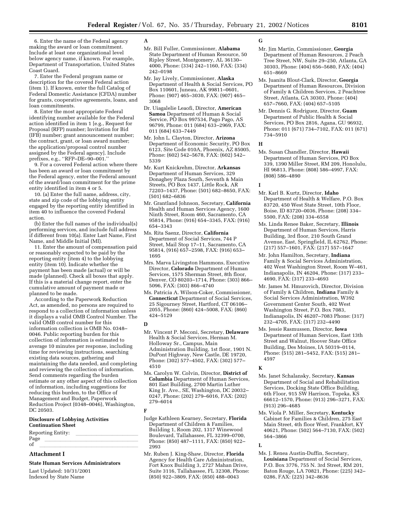6. Enter the name of the Federal agency making the award or loan commitment. Include at least one organizational level below agency name, if known. For example, Department of Transportation, United States Coast Guard.

7. Enter the Federal program name or description for the covered Federal action (item 1). If known, enter the full Catalog of Federal Domestic Assistance (CFDA) number for grants, cooperative agreements, loans, and loan commitments.

8. Enter the most appropriate Federal identifying number available for the Federal action identified in item 1 [e.g., Request for Proposal (RFP) number; Invitation for Bid (IFB) number; grant announcement number; the contract, grant, or loan award number; the application/proposal control number assigned by the Federal agency]. Include prefixes, e.g., ''RFP–DE–90–001.''

9. For a covered Federal action where there has been an award or loan commitment by the Federal agency, enter the Federal amount of the award/loan commitment for the prime entity identified in item 4 or 5.

10. (a) Enter the full name, address, city, state and zip code of the lobbying entity engaged by the reporting entity identified in item 40 to influence the covered Federal action.

(b) Enter the full names of the individual(s) performing services, and include full address if different from 10(a). Enter Last Name, First Name, and Middle Initial (MI).

11. Enter the amount of compensation paid or reasonably expected to be paid by the reporting entity (item 4) to the lobbying entity (item 10). Indicate whether the payment has been made (actual) or will be made (planned). Check all boxes that apply. If this is a material change report, enter the cumulative amount of payment made or planned to be made.

According to the Paperwork Reduction Act, as amended, no persons are required to respond to a collection of information unless it displays a valid OMB Control Number. The valid OMB control number for this information collection is OMB No. 0348– 0046. Public reporting burden for this collection of information is estimated to average 10 minutes per response, including time for reviewing instructions, searching existing data sources, gathering and maintaining the data needed, and completing and reviewing the collection of information. Send comments regarding the burden estimate or any other aspect of this collection of information, including suggestions for reducing this burden, to the Office of Management and Budget, Paperwork Reduction Project (0348–0046), Washington, DC 20503.

#### **Disclosure of Lobbying Activities Continuation Sheet**

## ${\bf Reporting \; Entity:} \\ {\bf Page} \begin{tabular}{l} \end{tabular}$ Page llllllllllllllllll of  $\qquad$

#### **Attachment I**

#### **State Human Services Administrators**

Last Updated: 10/31/2001 Indexed by State Name

#### **A**

- Mr. Bill Fuller, Commissioner, **Alabama** State Department of Human Resource, 50 Ripley Street, Montgomery, AL 36130– 4000, Phone: (334) 242–1160, FAX: (334) 242–0198
- Mr. Jay Lively, Commissioner, **Alaska** Department of Health & Social Services, PO Box 110601, Juneau, AK 99811–0601, Phone: (907) 465–3030, FAX: (907) 465– 3068
- Dr. Uiagalelie Leaofi, Director, **American Samoa** Department of Human & Social Service, PO Box 997534, Pago Pago, AS 96799, Phone: 011 (684) 633–2969, FAX: 011 (684) 633–7449
- Mr. John L. Clayton, Director, **Arizona** Department of Economic Security, PO Box 6123, Site Code 010A, Phoenix, AZ 85005, Phone: (602) 542–5678, FAX: (602) 542– 5339
- Mr. Kurt Knickrehm, Director, **Arkansas** Department of Human Services, 329 Donaghey Plaza South, Seventh & Main Streets, PO Box 1437, Little Rock, AR 72203–1437, Phone: (501) 682–8650, FAX: (501) 682–6836
- Mr. Grantland Johnson, Secretary, **California** Health and Human Services Agency, 1600 Ninth Street, Room 460, Sacramento, CA 95814, Phone: (916) 654–3345, FAX: (916) 654–3343
- Ms. Rita Saenz, Director, **California** Department of Social Services, 744 P Street, Mail Stop 17–11, Sacramento, CA 95814, (916) 657–2598, FAX: (916) 653– 1695
- Mrs. Marva Livingston Hammons, Executive Director, **Colorado** Department of Human Services, 1575 Sherman Street, 8th floor, Denver, CO 80203–1714, Phone: (303) 866– 5096, FAX: (303) 866–4740
- Ms. Patricia A. Wilson-Coker, Commissioner, **Connecticut** Department of Social Services, 25 Sigourney Street, Hartford, CT 06106– 2055, Phone: (860) 424–5008, FAX: (860) 424–5129

#### **D**

- Mr. Vincent P. Meconi, Secretary, **Delaware** Health & Social Services, Herman M. Holloway Sr., Campus, Main Administration Building, 1st floor, 1901 N. DuPont Highway, New Castle, DE 19720, Phone: (302) 577–4502, FAX: (302) 577– 4510
- Ms. Carolyn W. Colvin, Director, **District of Columbia** Department of Human Services, 801 East Building, 2700 Martin Luther King Jr. Ave., SE, Washington, DC 20032– 0247, Phone: (202) 279–6016, FAX: (202) 279–6014
- **F**
- Judge Kathleen Kearney, Secretary, **Florida** Department of Children & Families, Building 1, Room 202, 1317 Winewood Boulevard, Tallahassee, FL 32399–0700, Phone: (850) 487–1111, FAX: (850) 922– 2993
- Mr. Ruben J. King-Shaw, Director, **Florida** Agency for Health Care Administration, Fort Knox Building 3, 2727 Mahan Drive, Suite 3116, Tallahassee, FL 32308, Phone: (850) 922–3809, FAX: (850) 488–0043

#### **G**

- Mr. Jim Martin, Commissioner, **Georgia** Department of Human Resources, 2 Peach Tree Street, NW, Suite 29–250, Atlanta, GA 30303, Phone: (404) 656–5680, FAX: (404) 651–8669
- Ms. Juanita Blout-Clark, Director, **Georgia** Department of Human Resources, Division of Family & Children Services, 2 Peachtree Street, Atlanta, GA 30303, Phone: (404) 657–7660, FAX: (404) 657–5105
- Mr. Dennis G. Rodriguez, Director, **Guam** Department of Public Health & Social Services, PO Box 2816, Agana, GU 96932, Phone: 011 (671) 734–7102, FAX: 011 (671) 734–5910

#### **H**

Ms. Susan Chandler, Director, **Hawaii** Department of Human Services, PO Box 339, 1390 Miller Street, RM 209, Honolulu, HI 96813, Phone: (808) 586–4997, FAX: (808) 586–4890

## **I**

- Mr. Karl B. Kurtz, Director, **Idaho** Department of Health & Welfare, P.O. Box 83720, 450 West State Street, 10th Floor, Boise, ID 83720–0036, Phone: (208) 334– 5500, FAX: (208) 334–6558
- Ms. Linda Renee Baker, Secretary, **Illinois** Department of Human Services, Harris Building, 3rd floor, 210 South Grand Avenue, East, Springfield, IL 62762, Phone: (217) 557–1601, FAX: (217) 557–1647
- Mr. John Hamilton, Secretary, **Indiana** Family & Social Services Administration, 402 West Washington Street, Room W–461, Indianapolis, IN 46204, Phone: (317) 233– 4690, FAX: (317) 233–4693
- Mr. James M. Hmurovich, Director, Division of Family & Children, **Indiana** Family & Social Services Administration, W392 Government Center South, 402 West Washington Street, P.O. Box 7083, Indianapolis, IN 46207–7083 Phone: (317) 232–4705, FAX: (317) 232–4490
- Ms. Jessie Rasmussen, Director, **Iowa** Department of Human Services, East 13th Street and Walnut, Hoover State Office Building, Des Moines, IA 50319–0114, Phone: (515) 281–5452, FAX: (515) 281– 4597

#### **K**

- Ms. Janet Schalansky, Secretary, **Kansas** Department of Social and Rehabilitation Services, Docking State Office Building, 6th Floor, 915 SW Harrison, Topeka, KS 66612–1570, Phone: (913) 296–3271, FAX: (913) 296–4685
- Ms. Viola P. Miller, Secretary, **Kentucky** Cabinet for Families & Children, 275 East Main Street, 4th floor West, Frankfort, KY 40621, Phone: (502) 564–7130, FAX: (502) 564–3866

#### **L**

Ms. J. Renea Austin-Duffin, Secretary, **Louisiana** Department of Social Services, P.O. Box 3776, 755 N. 3rd Street, RM 201, Baton Rouge, LA 70821, Phone: (225) 342– 0286, FAX: (225) 342–8636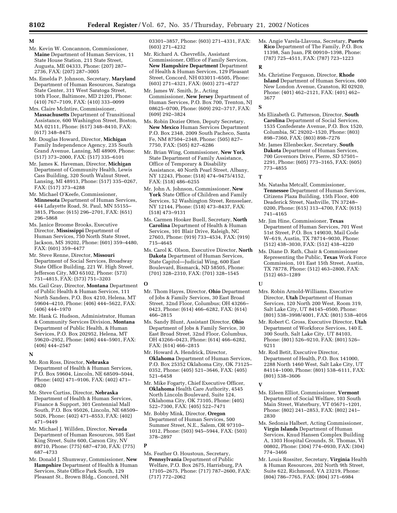**M**

- Mr. Kevin W. Concannon, Commissioner, **Maine** Department of Human Services, 11 State House Station, 211 State Street, Augusta, ME 04333, Phone: (207) 287– 2736, FAX: (207) 287–3005
- Ms. Emelda P. Johnson, Secretary, **Maryland** Department of Human Resources, Saratoga State Center, 311 West Saratoga Street, 10th Floor, Baltimore, MD 21201, Phone: (410) 767–7109, FAX: (410) 333–0099
- Mrs. Claire McIntire, Commissioner, **Massachusetts** Department of Transitional Assistance, 600 Washington Street, Boston, MA 02111, Phone: (617) 348–8410, FAX: (617) 348–8475
- Mr. Douglas Howard, Director, **Michigan** Family Independence Agency, 235 South Grand Avenue, Lansing, MI 48909, Phone: (517) 373–2000, FAX: (517) 335–6101
- Mr. James K. Haveman, Director, **Michigan** Department of Community Health, Lewis Cass Building, 320 South Walnut Street, Lansing, MI 48913, Phone: (517) 335–0267, FAX: (517) 373–4288
- Mr. Michael O'Keefe, Commissioner, **Minnesota** Department of Human Services, 444 Lafayette Road, St. Paul, MN 55155– 3815, Phone: (615) 296–2701, FAX: (651) 296–5868
- Ms. Janice Broome Brooks, Executive Director, **Mississippi** Department of Human Services, 750 North State Street, Jackson, MS 39202, Phone: (601) 359–4480, FAX: (601) 359–4477

Mr. Steve Renne, Director, **Missouri** Department of Social Services, Broadway State Office Building, 221 W. High Street, Jefferson City, MO 65102, Phone: (573) 751–4815, FAX: (573) 751–3203

Ms. Gail Gray, Director, **Montana** Department of Public Health & Human Services, 111 North Sanders, P.O. Box 4210, Helena, MT 59604–4210, Phone: (406) 444–5622, FAX: (406) 444–1970

Mr. Hank G. Hudson, Administrator, Human & Community Services Division, **Montana** Department of Public Health, & Human Services, P.O. Box 202952, Helena, MT 59620–2952, Phone: (406) 444–5901, FAX: (406) 444–2547

#### **N**

- Mr. Ron Ross, Director, **Nebraska** Department of Health & Human Services, P.O. Box 59604, Lincoln, NE 68509–5044, Phone: (402) 471–9106, FAX: (402) 471– 0820
- Mr. Steve Curtiss, Director, **Nebraska** Department of Health & Human Services, Finance & Support, 301 Centennial Mall South, P.O. Box 95026, Lincoln, NE 68509– 5026, Phone: (402) 471–8553, FAX: (402) 471–9449
- Mr. Michael J. Willden, Director, **Nevada** Department of Human Resources, 505 East King Street, Suite 600, Carson City, NV 89710, Phone: (775) 687–4730, FAX: (775) 687–4733
- Mr. Donald J. Shumway, Commissioner, **New Hampshire** Department of Health & Human Services, State Office Park South, 129 Pleasant St., Brown Bldg., Concord, NH

03301–3857, Phone: (603) 271–4331, FAX: (603) 271–4232

- Mr. Richard A. Chevrefils, Assistant Commissioner, Office of Family Services, **New Hampshire Department** Department of Health & Human Services, 129 Pleasant Street, Concord, NH 033011–6505, Phone: (603) 271–4321, FAX: (603) 271–4727
- Mr. James W. Smith, Jr., Acting Commissioner, **New Jersey** Department of Human Services, P.O. Box 700, Trenton, NJ 08625–0700, Phone: (609) 292–3717, FAX: (609) 292–3824
- Ms. Robin Dozier Otten, Deputy Secretary, **New Mexico** Human Services Department P.O. Box 2348, 2009 South Pacheco, Santa Fe, NM 87504–2348, Phone: (505) 827– 7750, FAX: (505) 827–6286
- Mr. Brian Wing, Commissioner, **New York** State Department of Family Assistance, Office of Temporary & Disability Assistance, 40 North Pearl Street, Albany, NY 12243, Phone: (518) 474–9475/4152, FAX: (518) 486–6255
- Mr. John A. Johnson, Commissioner, **New York** State Office of Children and Family Services, 52 Washington Street, Rensselaer, NY 12144, Phone: (518) 473–8437, FAX: (518) 473–9131
- Ms. Carmen Hooker Buell, Secretary, **North Carolina** Department of Health & Human Services, 101 Blair Drive, Raleigh, NC 27603, Phone: (919) 733–4534, FAX: (919) 715–4645

Ms. Carol K. Olson, Executive Director, **North Dakota** Department of Human Services, State Capitol—Judicial Wing, 600 East Boulevard, Bismarck, ND 58505, Phone: (701) 328–2310, FAX: (701) 328–1545

#### **O**

Mr. Thom Hayes, Director, **Ohio** Department of Jobs & Family Services, 30 East Broad Street, 32nd Floor, Columbus; OH 43266– 0423, Phone: (614) 466–6282, FAX: (614) 466–2815

Ms. Sandy Blunt, Assistant Director, **Ohio** Department of Jobs & Family Service, 30 East Broad Street, 32nd Floor, Columbus, OH 43266–0423, Phone: (614) 466–6282, FAX: (614) 466–2815

- Mr. Howard A. Hendrick, Director, **Oklahoma** Department of Human Services, P.O. Box 25352 Oklahoma City, OK 73125– 0352, Phone: (405) 521–3646, FAX: (405) 521–6458
- Mr. Mike Fogarty, Chief Executive Officer, **Oklahoma** Health Care Authority, 4545 North Lincoln Boulevard, Suite 124, Oklahoma City, OK 73105, Phone: (405) 522–7300, FAX: (405) 522–7471
- Mr. Bobby Mink, Director, **Oregon** Department of Human Services, 500 Summer Street, N.E., Salem, OR 97310– 1012, Phone: (503) 945–5944, FAX: (503) 378–2897

**P**

Ms. Feather O. Houstoun, Secretary, **Pennsylvania** Department of Public Welfare, P.O. Box 2675, Harrisburg, PA 17105–2675, Phone: (717) 787–2600, FAX: (717) 772–2062

Ms. Angie Varela-Llavona, Secretary, **Puerto Rico** Department of The Family, P.O. Box 11398, San Juan, PR 00910–1398, Phone: (787) 725–4511, FAX: (787) 723–1223

#### **R**

Ms. Christine Ferguson, Director, **Rhode Island** Department of Human Services, 600 New London Avenue, Cranston, RI 02920, Phone: (401) 462–2121, FAX: (401) 462– 3677

## **S**

- Ms Elizabeth G. Patterson, Director, **South Carolina** Department of Social Services, 1535 Confederate Avenue, P.O. Box 1520, Columbia, SC 29202–1520, Phone: (803) 898–7360, FAX: (803) 898–7276
- Mr. James Ellenbecker, Secretary, **South Dakota** Department of Human Services, 700 Governors Drive, Pierre, SD 57501– 2291, Phone: (605) 773–3165, FAX: (605) 773–4855

**T**

- Ms. Natasha Metcalf, Commissioner, **Tennessee** Department of Human Services, Citizens Plaza Building, 15th Floor, 400 Deaderick Street, Nashville, TN 37248– 0200, Phone: (615) 313–4700, FAX: (615) 741–4165
- Mr. Jim Hine, Commissioner, **Texas** Department of Human Services, 701 West 51st Street, P.O. Box 149030, Mail Code W–619, Austin, TX 78714–9030, Phone: (512) 438–3030, FAX: (512) 438–4220
- Ms. Diane D. Rath, Chair & Commissioner Representing the Public, **Texas** Work Force Commission, 101 East 15th Street, Austin, TX 78778, Phone: (512) 463–2800, FAX: (512) 463–1289

## **U**

- Mrs. Robin Arnold-Williams, Executive Director, **Utah** Department of Human Services, 120 North 200 West, Room 319, Salt Lake City, UT 84145–0500, Phone: (801) 538–3998/4001, FAX: (801) 538–4016
- Mr. Robert C. Gross, Executive Director, **Utah** Department of Workforce Services, 140 E. 300 South, Salt Lake City, UT 84103, Phone: (801) 526–9210, FAX: (801) 526– 9211
- Mr. Rod Betit, Executive Director, Department of Health, P.O. Box 141000, 2288 North 1460 West, Salt Lake City, UT 84114–1000, Phone: (801) 538–6111, FAX: (801) 538–3606

#### **V**

- Ms. Eileen Elliot, Commissioner, **Vermont** Department of Social Welfare, 103 South Main Street, Waterbury, VT 05671–1201, Phone: (802) 241–2853, FAX: (802) 241– 2830
- Ms. Sedonia Halbert, Acting Commissioner, **Virgin Islands** Department of Human Services, Knud Hansen Complex Building A, 1303 Hospital Grounds, St. Thomas, VI 00802, Phone: (304) 774–0930, FAX: (304) 774–3466
- Mr. Louis Rossiter, Secretary, **Virginia** Health & Human Resources, 202 North 9th Street, Suite 622, Richmond, VA 23219, Phone: (804) 786–7765, FAX: (804) 371–6984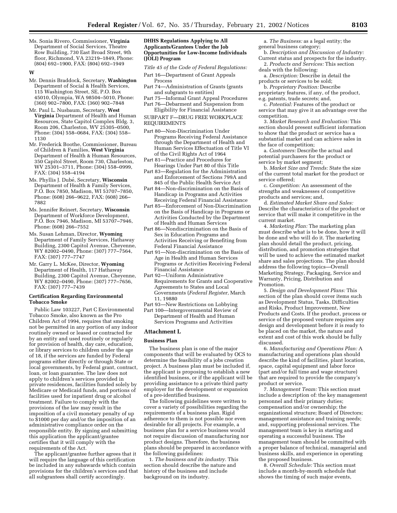Ms. Sonia Rivero, Commissioner, **Virginia** Department of Social Services, Theatre Row Building, 730 East Broad Street, 9th floor, Richmond, VA 23219–1849, Phone: (804) 692–1900, FAX: (804) 692–1949

#### **W**

- Mr. Dennis Braddock, Secretary, **Washington** Department of Social & Health Services, 115 Washington Street, SE, P.O. Box 45010, Olympia, WA 98504–5010, Phone: (360) 902–7800, FAX: (360) 902–7848
- Mr. Paul L. Nusbaum, Secretary, **West Virginia** Department of Health and Human Resources, State Capitol Complex Bldg. 3, Room 206, Charleston, WV 25305–0500, Phone: (304) 558–0684, FAX: (304) 558– 1130
- Mr. Frederick Boothe, Commissioner, Bureau of Children & Families, **West Virginia** Department of Health & Human Resources, 350 Capitol Street, Room 730, Charleston, WV 25301–3711, Phone: (304) 558–0999, FAX: (304) 558–4194
- Ms. Phyllis J. Dube´, Secretary, **Wisconsin** Department of Health & Family Services, P.O. Box 7850, Madison, WI 53707–7850, Phone: (608) 266–9622, FAX: (608) 266– 7882
- Ms. Jennifer Reinert, Secretary, **Wisconsin** Department of Workforce Development, P.O. Box 7946, Madison, MI 53707–7946, Phone: (608) 266–7552
- Ms. Susan Lehman, Director, **Wyoming** Department of Family Services, Hathaway Building, 2300 Capitol Avenue, Cheyenne, WY 82002–0490, Phone: (307) 777–7564, FAX: (307) 777–7747
- Mr. Garry L. McKee, Director, **Wyoming** Department of Health, 117 Hathaway Building, 2300 Capitol Avenue, Cheyenne, WY 82002–0490, Phone: (307) 777–7656, FAX: (307) 777–7439

#### **Certification Regarding Environmental Tobacco Smoke**

Public Law 103227, Part C Environmental Tobacco Smoke, also known as the Pro Children Act of 1994, requires that smoking not be permitted in any portion of any indoor routinely owned or leased or contracted for by an entity and used routinely or regularly for provision of health, day care, education, or library services to children under the age of 18, if the services are funded by Federal programs either directly or through State or local governments, by Federal grant, contract, loan, or loan guarantee. The law does not apply to children's services provided in private residences, facilities funded solely by Medicare or Medicaid funds, and portions of facilities used for inpatient drug or alcohol treatment. Failure to comply with the provisions of the law may result in the imposition of a civil monetary penalty of up to \$1000 per day and/or the imposition of an administrative compliance order on the responsible entity. By signing and submitting this application the applicant/grantee certifies that it will comply with the requirements of the Act.

The applicant/grantee further agrees that it will require the language of this certification be included in any subawards which contain provisions for the children's services and that all subgrantees shall certify accordingly.

#### **DHHS Regulations Applying to All Applicants/Grantees Under the Job Opportunities for Low-Income Individuals (JOLI) Program**

*Title 45 of the Code of Federal Regulations:*

- Part 16—Department of Grant Appeals Process
- Part 74—Administration of Grants (grants and subgrants to entities)
- Part 75—Informal Grant Appeal Procedures Part 76—Debarment and Suspension from
- Eligibility for Financial Assistance SUBPART F—DRUG FREE WORKPLACE REQUIREMENTS
- Part 80—Non-Discrimination Under Programs Receiving Federal Assistance through the Department of Health and Human Services Effectuation of Title VI of the Civil Rights Act of 1964
- Part 81—Practice and Procedures for Hearings Under Part 80 of this Title
- Part 83—Regulation for the Administration and Enforcement of Sections 799A and 845 of the Public Health Service Act
- Part 84—Non-discrimination on the Basis of Handicap in Programs and Activities Receiving Federal Financial Assistance
- Part 85—Enforcement of Non-Discrimination on the Basis of Handicap in Programs or Activities Conducted by the Department of Health and Human Services
- Part 86—Nondiscrimination on the Basis of Sex in Education Programs and Activities Receiving or Benefiting from Federal Financial Assistance
- Part 91—Non-discrimination on the Basis of Age in Health and Human Services Programs or Activities Receiving Federal Financial Assistance
- Part 92—Uniform Administrative Requirements for Grants and Cooperative Agreements to States and Local Governments (*Federal Register*, March 11, 19880
- Part 93—New Restrictions on Lobbying
- Part 100—Intergovernmental Review of Department of Health and Human Services Programs and Activities

## **Attachment L**

## **Business Plan**

The business plan is one of the major components that will be evaluated by OCS to determine the feasibility of a jobs creation project. A business plan must be included if, the applicant is proposing to establish a new identified business, or if the applicant will be providing assistance to a private third party employer for the development or expansion of a pre-identified business.

The following guidelines were written to cover a variety of possibilities regarding the requirements of a business plan. Rigid adherence to them is not possible nor even desirable for all projects. For example, a business plan for a service business would not require discussion of manufacturing nor product designs. Therefore, the business plans should be prepared in accordance with the following guidelines:

1. *The business and its industry.* This section should describe the nature and history of the business and include background on its industry.

a. *The Business:* as a legal entity; the general business category;

b. *Description and Discussion of Industry:* Current status and prospects for the industry.

2. *Products and Services:* This section deals with the following:

a. *Description:* Describe in detail the products or services to be sold;

b. *Proprietary Position:* Describe proprietary features, if any, of the product, e.g. patents, trade secrets; and,

c. *Potential:* Features of the product or service that may give it an advantage over the competition.

3. *Market Research and Evaluation:* This section should present sufficient information to show that the product or service has a substantial market and can achieve sales in the face of competition;

a. *Customers:* Describe the actual and potential purchasers for the product or service by market segment;

b. *Market Size and Trends:* State the size of the current total market for the product or service offered;

c. *Competition:* An assessment of the strengths and weaknesses of competitive products and services; and,

d. *Estimated Market Share and Sales:* Describe the characteristics of the product or service that will make it competitive in the current market.

4. *Marketing Plan:* The marketing plan must describe what is to be done, how it will be done and who will do it. The marketing plan should detail the product, pricing, distribution, and promotion strategies that will be used to achieve the estimated market share and sales projections. The plan should address the following topics—Overall Marketing Strategy, Packaging, Service and Warranty, Pricing, Distribution and Promotion.

5. *Design and Development Plans:* This section of the plan should cover items such as Development Status, Tasks, Difficulties and Risks, Product Improvement, New Products and Costs. If the product, process or service of the proposed venture requires any design and development before it is ready to be placed on the market, the nature and extent and cost of this work should be fully discussed.

6. *Manufacturing and Operations Plan:* A manufacturing and operations plan should describe the kind of facilities, plant location, space, capital equipment and labor force (part and/or full time and wage structure) that are required to provide the company's product or service.

7. *Management Team:* This section must include a description of: the key management personnel and their primary duties; compensation and/or ownership; the organizational structure; Board of Directors; management assistance and training needs; and, supporting professional services. The management team is key in starting and operating a successful business. The management team should be committed with a proper balance of technical, managerial and business skills, and experience in operating the proposed business.

8. *Overall Schedule:* This section must include a month-by-month schedule that shows the timing of such major events,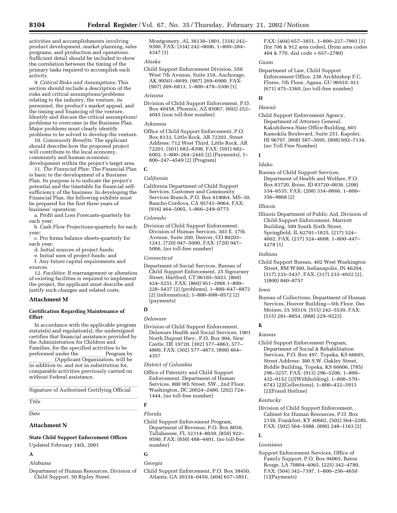activities and accomplishments involving product development, market planning, sales programs, and production and operations. Sufficient detail should be included to show the correlation between the timing of the primary tasks required to accomplish each activity.

9. *Critical Risks and Assumptions:* This section should include a description of the risks and critical assumptions/problems relating to the industry, the venture, its personnel, the product's market appeal, and the timing and financing of the venture. Identify and discuss the critical assumptions/ problems to overcome in the Business Plan. Major problems must clearly identify problems to be solved to develop the venture.

10. *Community Benefits:* The applicant should describe how the proposed project will contribute to the local economy, community and human economic development within the project's target area.

11. *The Financial Plan:* The Financial Plan is basic to the development of a Business Plan. Its purpose is to indicate the project's potential and the timetable for financial selfsufficiency of the business. In developing the Financial Plan, the following exhibits must be prepared for the first three years of business' operation:

a. Profit and Loss Forecasts-quarterly for each year;

- b. Cash Flow Projections-quarterly for each year;
- c. Pro forma balance sheets-quarterly for each year;
- d. Initial sources of project funds;

e. Initial uses of project funds; and

f. Any future capital requirements and

sources. 12. *Facilities:* If rearrangement or alteration of existing facilities is required to implement the project, the applicant must describe and justify such changes and related costs.

#### **Attachment M**

#### **Certification Regarding Maintenance of Effort**

In accordance with the applicable program statute(s) and regulation(s), the undersigned certifies that financial assistance provided by the Administration for Children and Families, for the specified activities to be performed under the lllllProgram by (Applicant Organization, will be<br>in addition to, and not in substitution for in addition to, and not in substitution for, comparable activities previously carried on without Federal assistance.

Signature of Authorized Certifying Official

**Title** Title

#### llate and the control of the control of the control of the control of the control of the control of the control of the control of the control of the control of the control of the control of the control of the control of th Date

## **Attachment N**

## **State Child Support Enforcement Offices**

Updated February 14th, 2001

#### **A**

#### *Alabama*

Department of Human Resources, Division of Child Support, 50 Ripley Street,

Montgomery, AL 36130–1801, (334) 242– 9300, FAX: (334) 242–0606, 1–800–284– 4347 [1]

#### *Alaska*

Child Support Enforcement Division, 550 West 7th Avenue, Suite 310, Anchorage, AK 99501–6699, (907) 269–6900, FAX: (907) 269–6813, 1–800–478–3300 [1]

#### *Arizona*

Division of Child Support Enforcement, P.O. Box 40458, Phoenix, AZ 85067, (602) 252– 4045 (non toll-free number)

## *Arkansas*

Office of Child Support Enforcement, P.O. Box 8133, Little Rock, AR 72203, Street Address: 712 West Third, Little Rock, AR 72201, (501) 682–8398, FAX: (501) 682– 6002, 1–800–264–2445 [2] (Payments), 1– 800–247–4549 [2] (Program)

#### **C**

#### *California*

California Department of Child Support Services, Customer and Community Services Branch, P.O. Box 419064, MS–30, Rancho Cordova, CA 95741–9064, FAX: (916) 464–5065, 1–866–249–0773

#### *Colorado*

Division of Child Support Enforcement, Division of Human Services, 303 E. 17th Avenue, Suite 200, Denver, CO 80203– 1241, (720) 947–5000, FAX: (720) 947– 5006, (no toll-free number)

#### *Connecticut*

Department of Social Services, Bureau of Child Support Enforcement, 25 Sigourney Street, Hartford, CT 06105–5033, (860) 424–5251, FAX: (860) 951–2966 1–800– 228–5437 [2] (problems), 1–800–647–8872 [2] (information), 1–800–698–0572 [2] (payments)

#### *Delaware*

**D**

Division of Child Support Enforcement, Delaware Health and Social Services, 1901 North Dupont Hwy., P.O. Box 904, New Castle, DE 19720, (302) 577–4863, 577– 4800, FAX: (302) 577–4873, (800) 464– 4357

#### *District of Columbia*

Office of Paternity and Child Support Enforcement, Department of Human Services, 800 9th Street, SW., 2nd Floor, Washington, DC 20024–2480, (202) 724– 1444, (no toll-free number)

#### **F**

## *Florida*

Child Support Enforcement Program, Department of Revenue, P.O. Box 8030, Tallahassee, FL 32314–8030, (850) 922– 9590, FAX: (850) 488–4401, (no toll-free number)

## **G**

## *Georgia*

Child Support Enforcement, P.O. Box 38450, Atlanta, GA 30334–0450, (404) 657–3851,

FAX: (404) 657–3851, 1–800–227–7993 [1] (for 706 & 912 area codes), (from area codes 404 & 770, dial code + 657–2780)

## *Guam*

Department of Law, Child Support Enforcement Office, 238 Archbishop F.C. Flores, 7th Floor, Agana, GU 96910, 011 (671) 475–3360, (no toll-free number)

## **H**

### *Hawaii*

Child Support Enforcement Agency, Department of Attorney General, Kakuhihewa State Office Building, 601 Kamokila Boulevard, Suite 251, Kapolei, HI 96707, (808) 587–3695, (808) 692–7134, (no Toll Free Number)

### **I**

## *Idaho*

Bureau of Child Support Services, Department of Health and Welfare, P.O. Box 83720, Boise, ID 83720–0036, (208) 334–6535, FAX: (208) 334–0666, 1–800– 356–9868 [2]

#### *Illinois*

Illinois Department of Public Aid, Division of Child Support Enforcement, Marriott Building, 509 South Sixth Street, Springfield, IL 62701–1825, (217) 524– 4602, FAX: (217) 524–4608, 1–800–447– 4278 [1]

#### *Indiana*

Child Support Bureau, 402 West Washington Street, RM W360, Indianapolis, IN 46204, (317) 233–5437, FAX: (317) 233–4932 [2], 1(800) 840–8757

#### *Iowa*

Bureau of Collections, Department of Human Services, Hoover Building—5th Floor, Des Moines, IA 50319, (515) 242–5530, FAX: (515) 281–8854, (888) 229–9223)

#### **K**

### *Kansas*

Child Support Enforcement Program, Department of Social & Rehabilitation Services, P.O. Box 497, Topeka, KS 66601, Street Address: 300 S.W. Oakley Street, Biddle Building, Topeka, KS 66606, (785) 296–3237, FAX: (913) 296–5206, 1–800– 432–0152 [2](Withholding), 1–800–570– 6743 [2](Collections), 1–800–432–3913 [2](Fraud Hotline)

#### *Kentucky*

Division of Child Support Enforcement, Cabinet for Human Resources, P.O. Box 2150, Frankfort, KY 40602, (502) 564–2285, FAX: (502) 564–5988, (800) 248–1163 [2]

#### **L**

## *Louisiana*

Support Enforcement Services, Office of Family Support, P.O. Box 94065, Baton Rouge, LA 70804–4065, (225) 342–4780, FAX: (504) 342–7397, 1–800–256–4650 [1](Payments)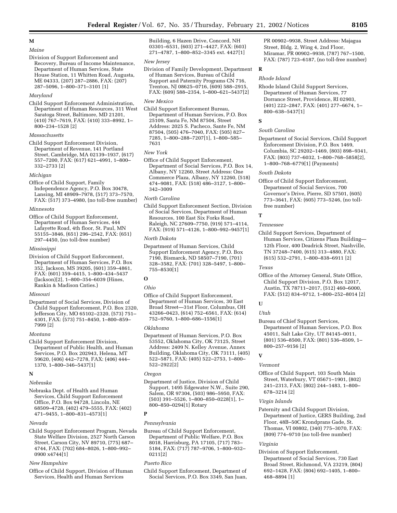### **M**

## *Maine*

Division of Support Enforcement and Recovery, Bureau of Income Maintenance, Department of Human Services, State House Station, 11 Whitten Road, Augusta, ME 04333, (207) 287–2886, FAX: (207) 287–5096, 1–800–371–3101 [1]

#### *Maryland*

Child Support Enforcement Administration, Department of Human Resources, 311 West Saratoga Street, Baltimore, MD 21201, (410) 767–7619, FAX: (410) 333–8992, 1– 800–234–1528 [2]

#### *Massachusetts*

Child Support Enforcement Division, Department of Revenue, 141 Portland Street, Cambridge, MA 02139–1937, (617) 557–7200, FAX: (617) 621–4991, 1–800– 332–2733 [2]

#### *Michigan*

Office of Child Support, Family Independence Agency, P.O. Box 30478, Lansing, MI 48909–7978, (517) 373–7570, FAX: (517) 373–4980, (no toll-free number)

#### *Minnesota*

Office of Child Support Enforcement, Department of Human Services, 444 Lafayette Road, 4th floor, St. Paul, MN 55155–3846, (651) 296–2542, FAX: (651) 297–4450, (no toll-free number)

#### *Mississippi*

Division of Child Support Enforcement, Department of Human Services, P.O. Box 352, Jackson, MS 39205, (601) 359–4861, FAX: (601) 359–4415, 1–800–434–5437 (Jackson)[2], 1–800–354–6039 (Hines, Rankin & Madison Cnties.)

#### *Missouri*

Department of Social Services, Division of Child Support Enforcement, P.O. Box 2320, Jefferson City, MO 65102–2320, (573) 751– 4301, FAX: (573) 751–8450, 1–800–859– 7999 [2]

#### *Montana*

Child Support Enforcement Division, Department of Public Health, and Human Services, P.O. Box 202943, Helena, MT 59620, (406) 442–7278, FAX: (406) 444– 1370, 1–800–346–5437[1]

#### **N**

## *Nebraska*

Nebraska Dept. of Health and Human Services, Child Support Enforcement Office, P.O. Box 94728, Lincoln, NE 68509–4728, (402) 479–5555, FAX: (402) 471–9455, 1–800–831–4573[1]

#### *Nevada*

Child Support Enforcement Program, Nevada State Welfare Division, 2527 North Carson Street, Carson City, NV 89710, (775) 687– 4744, FAX: (702) 684–8026, 1–800–992– 0900 x4744[1]

#### *New Hampshire*

Office of Child Support, Division of Human Services, Health and Human Services

Building, 6 Hazen Drive, Concord, NH 03301–6531, (603) 271–4427, FAX: (603) 271–4787, 1–800–852–3345 ext. 4427[1]

#### *New Jersey*

Division of Family Development, Department of Human Services, Bureau of Child Support and Paternity Programs CN 716, Trenton, NJ 08625–0716, (609) 588–2915, FAX: (609) 588–2354, 1–800–621–5437[2]

#### *New Mexico*

Child Support Enforcement Bureau, Department of Human Services, P.O. Box 25109, Santa Fe, NM 87504, Street Address: 2025 S. Pacheco, Sante Fe, NM 87504, (505) 476–7040, FAX: (505) 827– 7285, 1–800–288–7207[1], 1–800–585– 7631

#### *New York*

Office of Child Support Enforcement, Department of Social Services, P.O. Box 14, Albany, NY 12260, Street Address: One Commerce Plaza, Albany, NY 12260, (518) 474–9081, FAX: (518) 486–3127, 1–800– 342–3009

#### *North Carolina*

Child Support Enforcement Section, Division of Social Services, Department of Human Resources, 100 East Six Forks Road, Raleigh, NC 27609–7750, (919) 571–4114, FAX: (919) 571–4126, 1–800–992–9457[1]

### *North Dakota*

Department of Human Services, Child Support Enforcement Agency, P.O. Box 7190, Bismarck, ND 58507–7190, (701) 328–3582, FAX: (701) 328–5497, 1–800– 755–8530[1]

## **O** *Ohio*

Office of Child Support Enforcement, Department of Human Services, 30 East Broad Street—31st Floor, Columbus, OH 43266–0423, (614) 752–6561, FAX: (614) 752–9760, 1–800–686–1556[1]

#### *Oklahoma*

Department of Human Services, P.O. Box 53552, Oklahoma City, OK 73125, Street Address: 2409 N. Kelley Avenue, Annex Building, Oklahoma City, OK 73111, (405) 522–5871, FAX: (405) 522–2753, 1–800– 522–2922[2]

#### *Oregon*

Department of Justice, Division of Child Support, 1495 Edgewater N.W., Suite 290, Salem, OR 97304, (503) 986–5950, FAX: (503) 391–5526, 1–800–850–0228[1], 1– 800–850–0294[1] Rotary

## **P**

## *Pennsylvania*

Bureau of Child Support Enforcement, Department of Public Welfare, P.O. Box 8018, Harrisburg, PA 17105, (717) 783– 5184, FAX: (717) 787–9706, 1–800–932– 0211[2]

#### *Puerto Rico*

Child Support Enforcement, Department of Social Services, P.O. Box 3349, San Juan, PR 00902–9938, Street Address: Majagua Street, Bldg. 2, Wing 4, 2nd Floor, Miramar, PR 00902–9938, (787) 767–1500, FAX: (787) 723–6187, (no toll-free number)

#### **R**

## *Rhode Island*

Rhode Island Child Support Services, Department of Human Services, 77 Dorrance Street, Providence, RI 02903, (401) 222–2847, FAX: (401) 277–6674, 1– 800–638–5437[1]

## **S**

## *South Carolina*

Department of Social Services, Child Support Enforcement Division, P.O. Box 1469, Columbia, SC 29202–1469, (803) 898–9341, FAX: (803) 737–6032, 1–800–768–5858[2], 1–800–768–6779[1] (Payments)

#### *South Dakota*

Office of Child Support Enforcement, Department of Social Services, 700 Governor's Drive, Pierre, SD 57501, (605) 773–3641, FAX: (605) 773–5246, (no tollfree number)

## **T**

#### *Tennessee*

Child Support Services, Department of Human Services, Citizens Plaza Building— 12th Floor, 400 Deadrick Street, Nashville, TN 37248–7400, (615) 313–4880, FAX: (615) 532–2791, 1–800–838–6911 [2]

#### *Texas*

Office of the Attorney General, State Office, Child Support Division, P.O. Box 12017, Austin, TX 78711–2017, (512) 460–6000, FAX: (512) 834–9712, 1–800–252–8014 [2]

## **U** *Utah*

## Bureau of Chief Support Services,

Department of Human Services, P.O. Box 45011, Salt Lake City, UT 84145–0011, (801) 536–8500, FAX: (801) 536–8509, 1– 800–257–9156 [2]

## **V**

#### *Vermont*

Office of Child Support, 103 South Main Street, Waterbury, VT 05671–1901, (802) 241–2313, FAX: (802) 244–1483, 1–800– 678–3214 [2]

## *Virgin Islands*

Paternity and Child Support Division, Department of Justice, GERS Building, 2nd Floor, 48B–50C Krondprans Gade, St. Thomas, VI 00802, (340) 775–3070, FAX: (809) 774–9710 (no toll-free number)

## *Virginia*

Division of Support Enforcement, Department of Social Services, 730 East Broad Street, Richmond, VA 23219, (804) 692–1428, FAX: (804) 692–1405, 1–800– 468–8894 [1]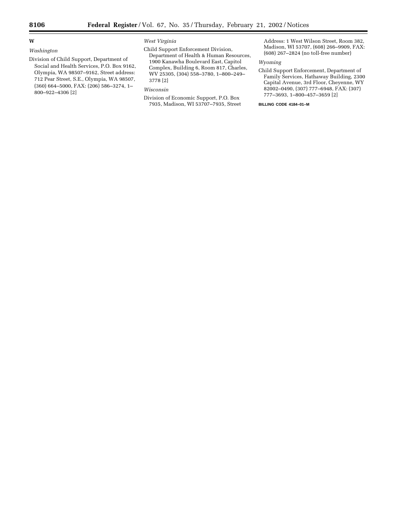## **W**

## *Washington*

Division of Child Support, Department of Social and Health Services, P.O. Box 9162, Olympia, WA 98507–9162, Street address: 712 Pear Street, S.E., Olympia, WA 98507, (360) 664–5000, FAX: (206) 586–3274, 1– 800–922–4306 [2]

## *West Virginia*

Child Support Enforcement Division, Department of Health & Human Resources, 1900 Kanawha Boulevard East, Capitol Complex, Building 6, Room 817, Charles, WV 25305, (304) 558–3780, 1–800–249– 3778 [2]

#### *Wisconsin*

Division of Economic Support, P.O. Box 7935, Madison, WI 53707–7935, Street

Address: 1 West Wilson Street, Room 382, Madison, WI 53707, (608) 266–9909, FAX: (608) 267–2824 (no toll-free number)

## *Wyoming*

Child Support Enforcement, Department of Family Services, Hathaway Building, 2300 Capital Avenue, 3rd Floor, Cheyenne, WY 82002–0490, (307) 777–6948, FAX: (307) 777–3693, 1–800–457–3659 [2]

#### **BILLING CODE 4184–01–M**